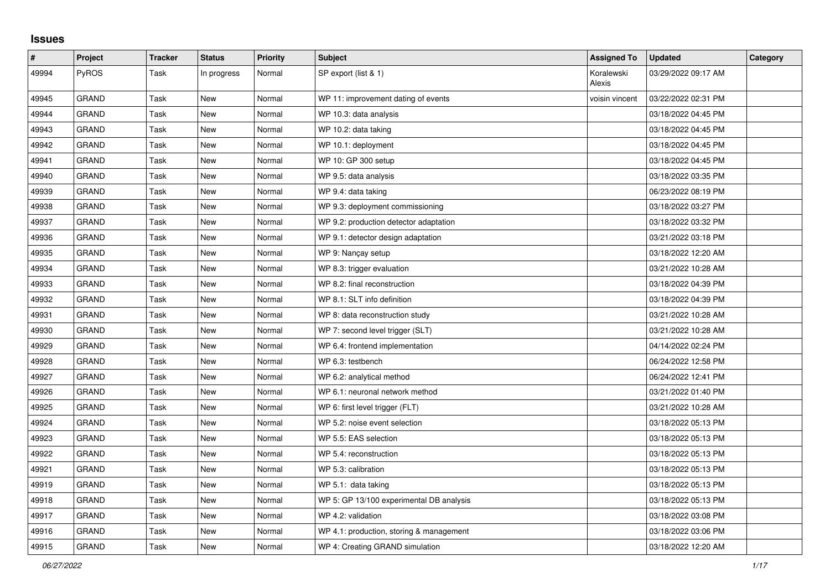## **Issues**

| $\sharp$ | Project      | <b>Tracker</b> | <b>Status</b> | <b>Priority</b> | <b>Subject</b>                           | <b>Assigned To</b>   | <b>Updated</b>      | Category |
|----------|--------------|----------------|---------------|-----------------|------------------------------------------|----------------------|---------------------|----------|
| 49994    | PyROS        | Task           | In progress   | Normal          | SP export (list & 1)                     | Koralewski<br>Alexis | 03/29/2022 09:17 AM |          |
| 49945    | <b>GRAND</b> | Task           | New           | Normal          | WP 11: improvement dating of events      | voisin vincent       | 03/22/2022 02:31 PM |          |
| 49944    | GRAND        | Task           | New           | Normal          | WP 10.3: data analysis                   |                      | 03/18/2022 04:45 PM |          |
| 49943    | <b>GRAND</b> | Task           | <b>New</b>    | Normal          | WP 10.2: data taking                     |                      | 03/18/2022 04:45 PM |          |
| 49942    | GRAND        | Task           | New           | Normal          | WP 10.1: deployment                      |                      | 03/18/2022 04:45 PM |          |
| 49941    | <b>GRAND</b> | Task           | New           | Normal          | WP 10: GP 300 setup                      |                      | 03/18/2022 04:45 PM |          |
| 49940    | <b>GRAND</b> | Task           | New           | Normal          | WP 9.5: data analysis                    |                      | 03/18/2022 03:35 PM |          |
| 49939    | <b>GRAND</b> | Task           | New           | Normal          | WP 9.4: data taking                      |                      | 06/23/2022 08:19 PM |          |
| 49938    | <b>GRAND</b> | Task           | New           | Normal          | WP 9.3: deployment commissioning         |                      | 03/18/2022 03:27 PM |          |
| 49937    | GRAND        | Task           | New           | Normal          | WP 9.2: production detector adaptation   |                      | 03/18/2022 03:32 PM |          |
| 49936    | GRAND        | Task           | New           | Normal          | WP 9.1: detector design adaptation       |                      | 03/21/2022 03:18 PM |          |
| 49935    | <b>GRAND</b> | Task           | New           | Normal          | WP 9: Nançay setup                       |                      | 03/18/2022 12:20 AM |          |
| 49934    | <b>GRAND</b> | Task           | New           | Normal          | WP 8.3: trigger evaluation               |                      | 03/21/2022 10:28 AM |          |
| 49933    | <b>GRAND</b> | Task           | New           | Normal          | WP 8.2: final reconstruction             |                      | 03/18/2022 04:39 PM |          |
| 49932    | GRAND        | Task           | New           | Normal          | WP 8.1: SLT info definition              |                      | 03/18/2022 04:39 PM |          |
| 49931    | GRAND        | Task           | <b>New</b>    | Normal          | WP 8: data reconstruction study          |                      | 03/21/2022 10:28 AM |          |
| 49930    | GRAND        | Task           | New           | Normal          | WP 7: second level trigger (SLT)         |                      | 03/21/2022 10:28 AM |          |
| 49929    | GRAND        | Task           | New           | Normal          | WP 6.4: frontend implementation          |                      | 04/14/2022 02:24 PM |          |
| 49928    | <b>GRAND</b> | Task           | New           | Normal          | WP 6.3: testbench                        |                      | 06/24/2022 12:58 PM |          |
| 49927    | <b>GRAND</b> | Task           | <b>New</b>    | Normal          | WP 6.2: analytical method                |                      | 06/24/2022 12:41 PM |          |
| 49926    | <b>GRAND</b> | Task           | New           | Normal          | WP 6.1: neuronal network method          |                      | 03/21/2022 01:40 PM |          |
| 49925    | <b>GRAND</b> | Task           | New           | Normal          | WP 6: first level trigger (FLT)          |                      | 03/21/2022 10:28 AM |          |
| 49924    | GRAND        | Task           | <b>New</b>    | Normal          | WP 5.2: noise event selection            |                      | 03/18/2022 05:13 PM |          |
| 49923    | <b>GRAND</b> | Task           | New           | Normal          | WP 5.5: EAS selection                    |                      | 03/18/2022 05:13 PM |          |
| 49922    | <b>GRAND</b> | Task           | <b>New</b>    | Normal          | WP 5.4: reconstruction                   |                      | 03/18/2022 05:13 PM |          |
| 49921    | <b>GRAND</b> | Task           | <b>New</b>    | Normal          | WP 5.3: calibration                      |                      | 03/18/2022 05:13 PM |          |
| 49919    | <b>GRAND</b> | Task           | New           | Normal          | WP 5.1: data taking                      |                      | 03/18/2022 05:13 PM |          |
| 49918    | GRAND        | Task           | New           | Normal          | WP 5: GP 13/100 experimental DB analysis |                      | 03/18/2022 05:13 PM |          |
| 49917    | GRAND        | Task           | New           | Normal          | WP 4.2: validation                       |                      | 03/18/2022 03:08 PM |          |
| 49916    | <b>GRAND</b> | Task           | New           | Normal          | WP 4.1: production, storing & management |                      | 03/18/2022 03:06 PM |          |
| 49915    | <b>GRAND</b> | Task           | New           | Normal          | WP 4: Creating GRAND simulation          |                      | 03/18/2022 12:20 AM |          |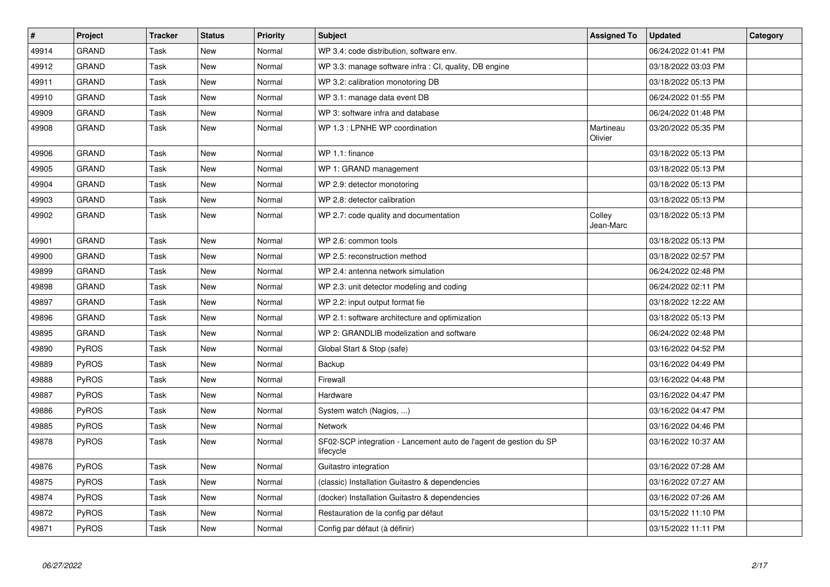| $\pmb{\#}$ | <b>Project</b> | <b>Tracker</b> | <b>Status</b> | <b>Priority</b> | <b>Subject</b>                                                                 | <b>Assigned To</b>   | <b>Updated</b>      | Category |
|------------|----------------|----------------|---------------|-----------------|--------------------------------------------------------------------------------|----------------------|---------------------|----------|
| 49914      | <b>GRAND</b>   | Task           | New           | Normal          | WP 3.4: code distribution, software env.                                       |                      | 06/24/2022 01:41 PM |          |
| 49912      | <b>GRAND</b>   | Task           | New           | Normal          | WP 3.3: manage software infra : CI, quality, DB engine                         |                      | 03/18/2022 03:03 PM |          |
| 49911      | GRAND          | Task           | New           | Normal          | WP 3.2: calibration monotoring DB                                              |                      | 03/18/2022 05:13 PM |          |
| 49910      | <b>GRAND</b>   | Task           | New           | Normal          | WP 3.1: manage data event DB                                                   |                      | 06/24/2022 01:55 PM |          |
| 49909      | <b>GRAND</b>   | Task           | <b>New</b>    | Normal          | WP 3: software infra and database                                              |                      | 06/24/2022 01:48 PM |          |
| 49908      | <b>GRAND</b>   | Task           | <b>New</b>    | Normal          | WP 1.3 : LPNHE WP coordination                                                 | Martineau<br>Olivier | 03/20/2022 05:35 PM |          |
| 49906      | <b>GRAND</b>   | Task           | New           | Normal          | WP 1.1: finance                                                                |                      | 03/18/2022 05:13 PM |          |
| 49905      | <b>GRAND</b>   | Task           | New           | Normal          | WP 1: GRAND management                                                         |                      | 03/18/2022 05:13 PM |          |
| 49904      | <b>GRAND</b>   | Task           | New           | Normal          | WP 2.9: detector monotoring                                                    |                      | 03/18/2022 05:13 PM |          |
| 49903      | <b>GRAND</b>   | Task           | <b>New</b>    | Normal          | WP 2.8: detector calibration                                                   |                      | 03/18/2022 05:13 PM |          |
| 49902      | <b>GRAND</b>   | Task           | New           | Normal          | WP 2.7: code quality and documentation                                         | Colley<br>Jean-Marc  | 03/18/2022 05:13 PM |          |
| 49901      | <b>GRAND</b>   | Task           | New           | Normal          | WP 2.6: common tools                                                           |                      | 03/18/2022 05:13 PM |          |
| 49900      | <b>GRAND</b>   | Task           | <b>New</b>    | Normal          | WP 2.5: reconstruction method                                                  |                      | 03/18/2022 02:57 PM |          |
| 49899      | <b>GRAND</b>   | Task           | <b>New</b>    | Normal          | WP 2.4: antenna network simulation                                             |                      | 06/24/2022 02:48 PM |          |
| 49898      | <b>GRAND</b>   | Task           | New           | Normal          | WP 2.3: unit detector modeling and coding                                      |                      | 06/24/2022 02:11 PM |          |
| 49897      | <b>GRAND</b>   | Task           | New           | Normal          | WP 2.2: input output format fie                                                |                      | 03/18/2022 12:22 AM |          |
| 49896      | <b>GRAND</b>   | Task           | New           | Normal          | WP 2.1: software architecture and optimization                                 |                      | 03/18/2022 05:13 PM |          |
| 49895      | <b>GRAND</b>   | Task           | New           | Normal          | WP 2: GRANDLIB modelization and software                                       |                      | 06/24/2022 02:48 PM |          |
| 49890      | PyROS          | Task           | New           | Normal          | Global Start & Stop (safe)                                                     |                      | 03/16/2022 04:52 PM |          |
| 49889      | PyROS          | Task           | <b>New</b>    | Normal          | Backup                                                                         |                      | 03/16/2022 04:49 PM |          |
| 49888      | PyROS          | Task           | <b>New</b>    | Normal          | Firewall                                                                       |                      | 03/16/2022 04:48 PM |          |
| 49887      | PyROS          | Task           | <b>New</b>    | Normal          | Hardware                                                                       |                      | 03/16/2022 04:47 PM |          |
| 49886      | <b>PyROS</b>   | Task           | New           | Normal          | System watch (Nagios, )                                                        |                      | 03/16/2022 04:47 PM |          |
| 49885      | <b>PyROS</b>   | Task           | New           | Normal          | Network                                                                        |                      | 03/16/2022 04:46 PM |          |
| 49878      | PyROS          | Task           | New           | Normal          | SF02-SCP integration - Lancement auto de l'agent de gestion du SP<br>lifecycle |                      | 03/16/2022 10:37 AM |          |
| 49876      | PyROS          | Task           | <b>New</b>    | Normal          | Guitastro integration                                                          |                      | 03/16/2022 07:28 AM |          |
| 49875      | PyROS          | Task           | New           | Normal          | (classic) Installation Guitastro & dependencies                                |                      | 03/16/2022 07:27 AM |          |
| 49874      | PyROS          | Task           | <b>New</b>    | Normal          | (docker) Installation Guitastro & dependencies                                 |                      | 03/16/2022 07:26 AM |          |
| 49872      | PyROS          | Task           | New           | Normal          | Restauration de la config par défaut                                           |                      | 03/15/2022 11:10 PM |          |
| 49871      | PyROS          | Task           | New           | Normal          | Config par défaut (à définir)                                                  |                      | 03/15/2022 11:11 PM |          |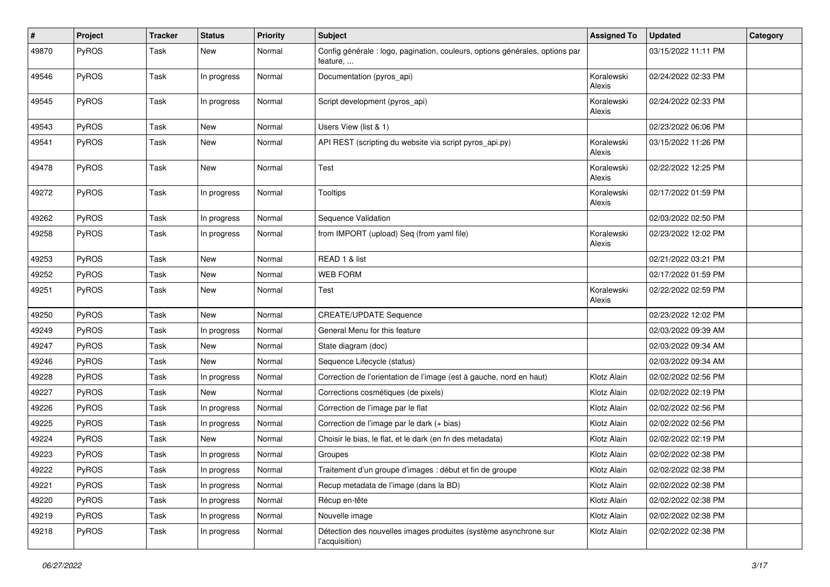| #     | Project      | <b>Tracker</b> | <b>Status</b> | <b>Priority</b> | Subject                                                                                  | <b>Assigned To</b>   | <b>Updated</b>      | Category |
|-------|--------------|----------------|---------------|-----------------|------------------------------------------------------------------------------------------|----------------------|---------------------|----------|
| 49870 | PyROS        | Task           | New           | Normal          | Config générale : logo, pagination, couleurs, options générales, options par<br>feature, |                      | 03/15/2022 11:11 PM |          |
| 49546 | PyROS        | Task           | In progress   | Normal          | Documentation (pyros_api)                                                                | Koralewski<br>Alexis | 02/24/2022 02:33 PM |          |
| 49545 | PyROS        | Task           | In progress   | Normal          | Script development (pyros_api)                                                           | Koralewski<br>Alexis | 02/24/2022 02:33 PM |          |
| 49543 | PyROS        | Task           | New           | Normal          | Users View (list & 1)                                                                    |                      | 02/23/2022 06:06 PM |          |
| 49541 | PyROS        | Task           | New           | Normal          | API REST (scripting du website via script pyros_api.py)                                  | Koralewski<br>Alexis | 03/15/2022 11:26 PM |          |
| 49478 | PyROS        | Task           | New           | Normal          | Test                                                                                     | Koralewski<br>Alexis | 02/22/2022 12:25 PM |          |
| 49272 | PyROS        | Task           | In progress   | Normal          | <b>Tooltips</b>                                                                          | Koralewski<br>Alexis | 02/17/2022 01:59 PM |          |
| 49262 | PyROS        | Task           | In progress   | Normal          | Sequence Validation                                                                      |                      | 02/03/2022 02:50 PM |          |
| 49258 | PyROS        | Task           | In progress   | Normal          | from IMPORT (upload) Seq (from yaml file)                                                | Koralewski<br>Alexis | 02/23/2022 12:02 PM |          |
| 49253 | PyROS        | Task           | New           | Normal          | READ 1 & list                                                                            |                      | 02/21/2022 03:21 PM |          |
| 49252 | PyROS        | Task           | New           | Normal          | <b>WEB FORM</b>                                                                          |                      | 02/17/2022 01:59 PM |          |
| 49251 | PyROS        | Task           | New           | Normal          | Test                                                                                     | Koralewski<br>Alexis | 02/22/2022 02:59 PM |          |
| 49250 | PyROS        | Task           | New           | Normal          | <b>CREATE/UPDATE Sequence</b>                                                            |                      | 02/23/2022 12:02 PM |          |
| 49249 | <b>PyROS</b> | Task           | In progress   | Normal          | General Menu for this feature                                                            |                      | 02/03/2022 09:39 AM |          |
| 49247 | PyROS        | Task           | New           | Normal          | State diagram (doc)                                                                      |                      | 02/03/2022 09:34 AM |          |
| 49246 | PyROS        | Task           | New           | Normal          | Sequence Lifecycle (status)                                                              |                      | 02/03/2022 09:34 AM |          |
| 49228 | <b>PyROS</b> | Task           | In progress   | Normal          | Correction de l'orientation de l'image (est à gauche, nord en haut)                      | Klotz Alain          | 02/02/2022 02:56 PM |          |
| 49227 | PyROS        | Task           | <b>New</b>    | Normal          | Corrections cosmétiques (de pixels)                                                      | Klotz Alain          | 02/02/2022 02:19 PM |          |
| 49226 | PyROS        | Task           | In progress   | Normal          | Correction de l'image par le flat                                                        | Klotz Alain          | 02/02/2022 02:56 PM |          |
| 49225 | PyROS        | Task           | In progress   | Normal          | Correction de l'image par le dark (+ bias)                                               | Klotz Alain          | 02/02/2022 02:56 PM |          |
| 49224 | PyROS        | Task           | New           | Normal          | Choisir le bias, le flat, et le dark (en fn des metadata)                                | Klotz Alain          | 02/02/2022 02:19 PM |          |
| 49223 | PyROS        | Task           | In progress   | Normal          | Groupes                                                                                  | Klotz Alain          | 02/02/2022 02:38 PM |          |
| 49222 | PyROS        | Task           | In progress   | Normal          | Traitement d'un groupe d'images : début et fin de groupe                                 | Klotz Alain          | 02/02/2022 02:38 PM |          |
| 49221 | <b>PyROS</b> | Task           | In progress   | Normal          | Recup metadata de l'image (dans la BD)                                                   | Klotz Alain          | 02/02/2022 02:38 PM |          |
| 49220 | PyROS        | Task           | In progress   | Normal          | Récup en-tête                                                                            | Klotz Alain          | 02/02/2022 02:38 PM |          |
| 49219 | PyROS        | Task           | In progress   | Normal          | Nouvelle image                                                                           | Klotz Alain          | 02/02/2022 02:38 PM |          |
| 49218 | PyROS        | Task           | In progress   | Normal          | Détection des nouvelles images produites (système asynchrone sur<br>l'acquisition)       | Klotz Alain          | 02/02/2022 02:38 PM |          |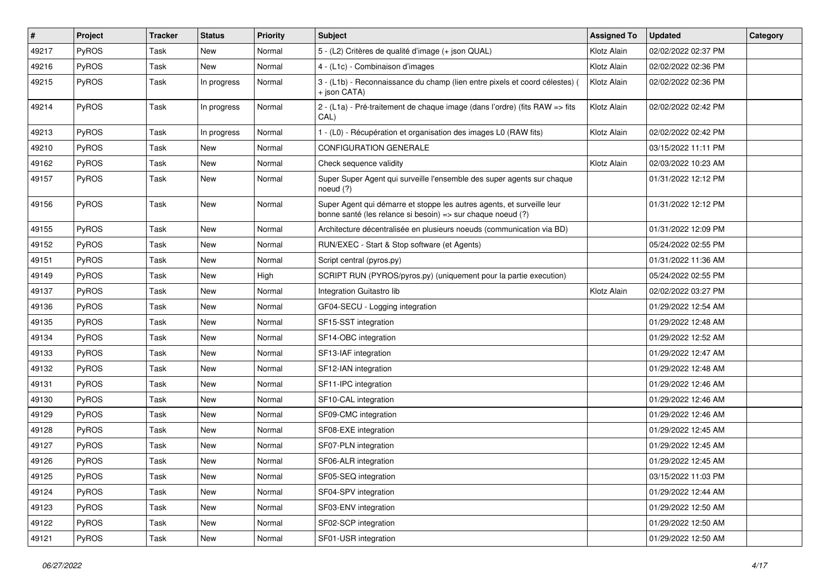| $\sharp$ | Project | Tracker | <b>Status</b> | <b>Priority</b> | <b>Subject</b>                                                                                                                        | <b>Assigned To</b> | <b>Updated</b>      | Category |
|----------|---------|---------|---------------|-----------------|---------------------------------------------------------------------------------------------------------------------------------------|--------------------|---------------------|----------|
| 49217    | PyROS   | Task    | New           | Normal          | 5 - (L2) Critères de qualité d'image (+ json QUAL)                                                                                    | Klotz Alain        | 02/02/2022 02:37 PM |          |
| 49216    | PyROS   | Task    | New           | Normal          | 4 - (L1c) - Combinaison d'images                                                                                                      | Klotz Alain        | 02/02/2022 02:36 PM |          |
| 49215    | PyROS   | Task    | In progress   | Normal          | 3 - (L1b) - Reconnaissance du champ (lien entre pixels et coord célestes) (<br>+ json CATA)                                           | Klotz Alain        | 02/02/2022 02:36 PM |          |
| 49214    | PyROS   | Task    | In progress   | Normal          | 2 - (L1a) - Pré-traitement de chaque image (dans l'ordre) (fits RAW => fits<br>CAL)                                                   | Klotz Alain        | 02/02/2022 02:42 PM |          |
| 49213    | PyROS   | Task    | In progress   | Normal          | 1 - (L0) - Récupération et organisation des images L0 (RAW fits)                                                                      | Klotz Alain        | 02/02/2022 02:42 PM |          |
| 49210    | PyROS   | Task    | New           | Normal          | <b>CONFIGURATION GENERALE</b>                                                                                                         |                    | 03/15/2022 11:11 PM |          |
| 49162    | PyROS   | Task    | New           | Normal          | Check sequence validity                                                                                                               | Klotz Alain        | 02/03/2022 10:23 AM |          |
| 49157    | PyROS   | Task    | New           | Normal          | Super Super Agent qui surveille l'ensemble des super agents sur chaque<br>noeud $(?)$                                                 |                    | 01/31/2022 12:12 PM |          |
| 49156    | PyROS   | Task    | New           | Normal          | Super Agent qui démarre et stoppe les autres agents, et surveille leur<br>bonne santé (les relance si besoin) => sur chaque noeud (?) |                    | 01/31/2022 12:12 PM |          |
| 49155    | PyROS   | Task    | <b>New</b>    | Normal          | Architecture décentralisée en plusieurs noeuds (communication via BD)                                                                 |                    | 01/31/2022 12:09 PM |          |
| 49152    | PyROS   | Task    | New           | Normal          | RUN/EXEC - Start & Stop software (et Agents)                                                                                          |                    | 05/24/2022 02:55 PM |          |
| 49151    | PyROS   | Task    | New           | Normal          | Script central (pyros.py)                                                                                                             |                    | 01/31/2022 11:36 AM |          |
| 49149    | PyROS   | Task    | New           | High            | SCRIPT RUN (PYROS/pyros.py) (uniquement pour la partie execution)                                                                     |                    | 05/24/2022 02:55 PM |          |
| 49137    | PyROS   | Task    | New           | Normal          | Integration Guitastro lib                                                                                                             | Klotz Alain        | 02/02/2022 03:27 PM |          |
| 49136    | PyROS   | Task    | New           | Normal          | GF04-SECU - Logging integration                                                                                                       |                    | 01/29/2022 12:54 AM |          |
| 49135    | PyROS   | Task    | New           | Normal          | SF15-SST integration                                                                                                                  |                    | 01/29/2022 12:48 AM |          |
| 49134    | PyROS   | Task    | New           | Normal          | SF14-OBC integration                                                                                                                  |                    | 01/29/2022 12:52 AM |          |
| 49133    | PyROS   | Task    | New           | Normal          | SF13-IAF integration                                                                                                                  |                    | 01/29/2022 12:47 AM |          |
| 49132    | PyROS   | Task    | <b>New</b>    | Normal          | SF12-IAN integration                                                                                                                  |                    | 01/29/2022 12:48 AM |          |
| 49131    | PyROS   | Task    | New           | Normal          | SF11-IPC integration                                                                                                                  |                    | 01/29/2022 12:46 AM |          |
| 49130    | PyROS   | Task    | <b>New</b>    | Normal          | SF10-CAL integration                                                                                                                  |                    | 01/29/2022 12:46 AM |          |
| 49129    | PyROS   | Task    | <b>New</b>    | Normal          | SF09-CMC integration                                                                                                                  |                    | 01/29/2022 12:46 AM |          |
| 49128    | PyROS   | Task    | New           | Normal          | SF08-EXE integration                                                                                                                  |                    | 01/29/2022 12:45 AM |          |
| 49127    | PyROS   | Task    | New           | Normal          | SF07-PLN integration                                                                                                                  |                    | 01/29/2022 12:45 AM |          |
| 49126    | PyROS   | Task    | New           | Normal          | SF06-ALR integration                                                                                                                  |                    | 01/29/2022 12:45 AM |          |
| 49125    | PyROS   | Task    | New           | Normal          | SF05-SEQ integration                                                                                                                  |                    | 03/15/2022 11:03 PM |          |
| 49124    | PyROS   | Task    | New           | Normal          | SF04-SPV integration                                                                                                                  |                    | 01/29/2022 12:44 AM |          |
| 49123    | PyROS   | Task    | New           | Normal          | SF03-ENV integration                                                                                                                  |                    | 01/29/2022 12:50 AM |          |
| 49122    | PyROS   | Task    | New           | Normal          | SF02-SCP integration                                                                                                                  |                    | 01/29/2022 12:50 AM |          |
| 49121    | PyROS   | Task    | New           | Normal          | SF01-USR integration                                                                                                                  |                    | 01/29/2022 12:50 AM |          |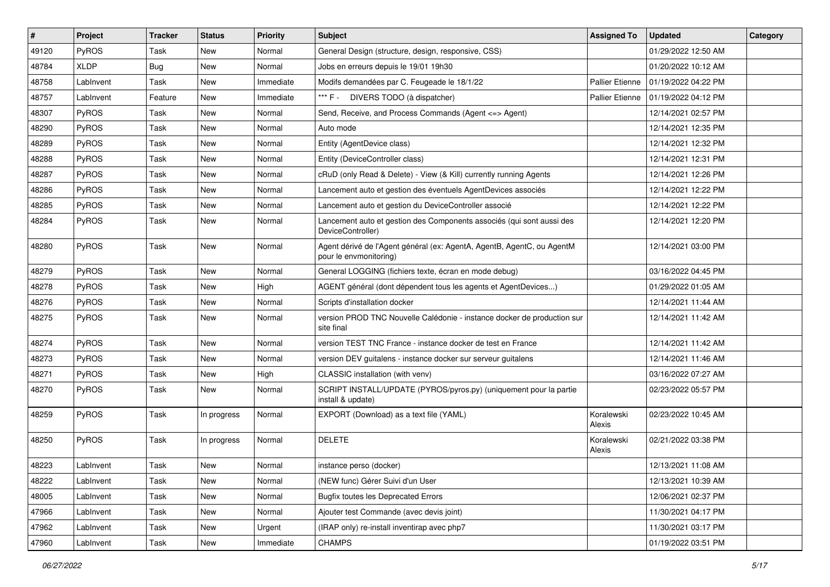| $\vert$ # | Project      | <b>Tracker</b> | <b>Status</b> | <b>Priority</b> | <b>Subject</b>                                                                                   | <b>Assigned To</b>     | <b>Updated</b>      | Category |
|-----------|--------------|----------------|---------------|-----------------|--------------------------------------------------------------------------------------------------|------------------------|---------------------|----------|
| 49120     | PyROS        | Task           | New           | Normal          | General Design (structure, design, responsive, CSS)                                              |                        | 01/29/2022 12:50 AM |          |
| 48784     | <b>XLDP</b>  | <b>Bug</b>     | <b>New</b>    | Normal          | Jobs en erreurs depuis le 19/01 19h30                                                            |                        | 01/20/2022 10:12 AM |          |
| 48758     | LabInvent    | Task           | New           | Immediate       | Modifs demandées par C. Feugeade le 18/1/22                                                      | <b>Pallier Etienne</b> | 01/19/2022 04:22 PM |          |
| 48757     | LabInvent    | Feature        | <b>New</b>    | Immediate       | *** F - DIVERS TODO (à dispatcher)                                                               | <b>Pallier Etienne</b> | 01/19/2022 04:12 PM |          |
| 48307     | PyROS        | Task           | <b>New</b>    | Normal          | Send, Receive, and Process Commands (Agent <= > Agent)                                           |                        | 12/14/2021 02:57 PM |          |
| 48290     | PyROS        | Task           | New           | Normal          | Auto mode                                                                                        |                        | 12/14/2021 12:35 PM |          |
| 48289     | PyROS        | Task           | <b>New</b>    | Normal          | Entity (AgentDevice class)                                                                       |                        | 12/14/2021 12:32 PM |          |
| 48288     | PyROS        | Task           | New           | Normal          | Entity (DeviceController class)                                                                  |                        | 12/14/2021 12:31 PM |          |
| 48287     | PyROS        | Task           | New           | Normal          | cRuD (only Read & Delete) - View (& Kill) currently running Agents                               |                        | 12/14/2021 12:26 PM |          |
| 48286     | <b>PyROS</b> | Task           | New           | Normal          | Lancement auto et gestion des éventuels AgentDevices associés                                    |                        | 12/14/2021 12:22 PM |          |
| 48285     | PyROS        | Task           | New           | Normal          | Lancement auto et gestion du DeviceController associé                                            |                        | 12/14/2021 12:22 PM |          |
| 48284     | PyROS        | Task           | New           | Normal          | Lancement auto et gestion des Components associés (qui sont aussi des<br>DeviceController)       |                        | 12/14/2021 12:20 PM |          |
| 48280     | PyROS        | Task           | <b>New</b>    | Normal          | Agent dérivé de l'Agent général (ex: AgentA, AgentB, AgentC, ou AgentM<br>pour le envmonitoring) |                        | 12/14/2021 03:00 PM |          |
| 48279     | PyROS        | Task           | New           | Normal          | General LOGGING (fichiers texte, écran en mode debug)                                            |                        | 03/16/2022 04:45 PM |          |
| 48278     | PyROS        | Task           | <b>New</b>    | High            | AGENT général (dont dépendent tous les agents et AgentDevices)                                   |                        | 01/29/2022 01:05 AM |          |
| 48276     | PyROS        | Task           | New           | Normal          | Scripts d'installation docker                                                                    |                        | 12/14/2021 11:44 AM |          |
| 48275     | <b>PyROS</b> | Task           | New           | Normal          | version PROD TNC Nouvelle Calédonie - instance docker de production sur<br>site final            |                        | 12/14/2021 11:42 AM |          |
| 48274     | PyROS        | Task           | New           | Normal          | version TEST TNC France - instance docker de test en France                                      |                        | 12/14/2021 11:42 AM |          |
| 48273     | PyROS        | Task           | New           | Normal          | version DEV guitalens - instance docker sur serveur guitalens                                    |                        | 12/14/2021 11:46 AM |          |
| 48271     | PyROS        | Task           | New           | High            | CLASSIC installation (with venv)                                                                 |                        | 03/16/2022 07:27 AM |          |
| 48270     | PyROS        | Task           | New           | Normal          | SCRIPT INSTALL/UPDATE (PYROS/pyros.py) (uniquement pour la partie<br>install & update)           |                        | 02/23/2022 05:57 PM |          |
| 48259     | PyROS        | Task           | In progress   | Normal          | EXPORT (Download) as a text file (YAML)                                                          | Koralewski<br>Alexis   | 02/23/2022 10:45 AM |          |
| 48250     | PyROS        | Task           | In progress   | Normal          | <b>DELETE</b>                                                                                    | Koralewski<br>Alexis   | 02/21/2022 03:38 PM |          |
| 48223     | LabInvent    | Task           | New           | Normal          | instance perso (docker)                                                                          |                        | 12/13/2021 11:08 AM |          |
| 48222     | LabInvent    | Task           | New           | Normal          | (NEW func) Gérer Suivi d'un User                                                                 |                        | 12/13/2021 10:39 AM |          |
| 48005     | LabInvent    | Task           | New           | Normal          | <b>Bugfix toutes les Deprecated Errors</b>                                                       |                        | 12/06/2021 02:37 PM |          |
| 47966     | Lablnvent    | Task           | New           | Normal          | Ajouter test Commande (avec devis joint)                                                         |                        | 11/30/2021 04:17 PM |          |
| 47962     | LabInvent    | Task           | New           | Urgent          | (IRAP only) re-install inventirap avec php7                                                      |                        | 11/30/2021 03:17 PM |          |
| 47960     | LabInvent    | Task           | New           | Immediate       | <b>CHAMPS</b>                                                                                    |                        | 01/19/2022 03:51 PM |          |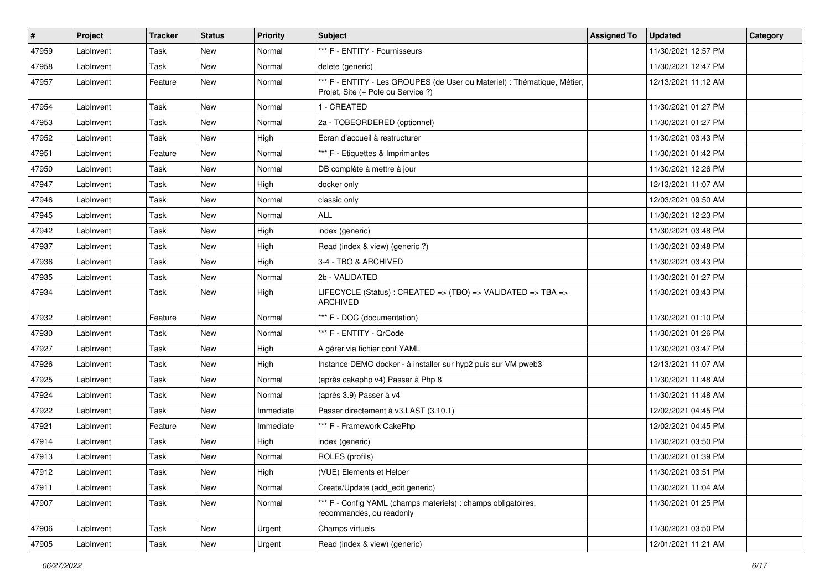| #     | Project   | <b>Tracker</b> | <b>Status</b> | <b>Priority</b> | Subject                                                                                                        | <b>Assigned To</b> | <b>Updated</b>      | Category |
|-------|-----------|----------------|---------------|-----------------|----------------------------------------------------------------------------------------------------------------|--------------------|---------------------|----------|
| 47959 | LabInvent | Task           | New           | Normal          | *** F - ENTITY - Fournisseurs                                                                                  |                    | 11/30/2021 12:57 PM |          |
| 47958 | LabInvent | Task           | New           | Normal          | delete (generic)                                                                                               |                    | 11/30/2021 12:47 PM |          |
| 47957 | LabInvent | Feature        | New           | Normal          | *** F - ENTITY - Les GROUPES (de User ou Materiel) : Thématique, Métier,<br>Projet, Site (+ Pole ou Service ?) |                    | 12/13/2021 11:12 AM |          |
| 47954 | LabInvent | Task           | New           | Normal          | 1 - CREATED                                                                                                    |                    | 11/30/2021 01:27 PM |          |
| 47953 | LabInvent | Task           | New           | Normal          | 2a - TOBEORDERED (optionnel)                                                                                   |                    | 11/30/2021 01:27 PM |          |
| 47952 | LabInvent | Task           | New           | High            | Ecran d'accueil à restructurer                                                                                 |                    | 11/30/2021 03:43 PM |          |
| 47951 | LabInvent | Feature        | New           | Normal          | *** F - Etiquettes & Imprimantes                                                                               |                    | 11/30/2021 01:42 PM |          |
| 47950 | LabInvent | Task           | New           | Normal          | DB complète à mettre à jour                                                                                    |                    | 11/30/2021 12:26 PM |          |
| 47947 | LabInvent | Task           | New           | High            | docker only                                                                                                    |                    | 12/13/2021 11:07 AM |          |
| 47946 | LabInvent | Task           | New           | Normal          | classic only                                                                                                   |                    | 12/03/2021 09:50 AM |          |
| 47945 | LabInvent | Task           | New           | Normal          | <b>ALL</b>                                                                                                     |                    | 11/30/2021 12:23 PM |          |
| 47942 | LabInvent | Task           | New           | High            | index (generic)                                                                                                |                    | 11/30/2021 03:48 PM |          |
| 47937 | LabInvent | Task           | New           | High            | Read (index & view) (generic ?)                                                                                |                    | 11/30/2021 03:48 PM |          |
| 47936 | LabInvent | Task           | New           | High            | 3-4 - TBO & ARCHIVED                                                                                           |                    | 11/30/2021 03:43 PM |          |
| 47935 | LabInvent | Task           | New           | Normal          | 2b - VALIDATED                                                                                                 |                    | 11/30/2021 01:27 PM |          |
| 47934 | LabInvent | Task           | New           | High            | LIFECYCLE (Status) : CREATED => (TBO) => VALIDATED => TBA =><br><b>ARCHIVED</b>                                |                    | 11/30/2021 03:43 PM |          |
| 47932 | LabInvent | Feature        | New           | Normal          | *** F - DOC (documentation)                                                                                    |                    | 11/30/2021 01:10 PM |          |
| 47930 | LabInvent | Task           | <b>New</b>    | Normal          | *** F - ENTITY - QrCode                                                                                        |                    | 11/30/2021 01:26 PM |          |
| 47927 | LabInvent | Task           | New           | High            | A gérer via fichier conf YAML                                                                                  |                    | 11/30/2021 03:47 PM |          |
| 47926 | LabInvent | Task           | New           | High            | Instance DEMO docker - à installer sur hyp2 puis sur VM pweb3                                                  |                    | 12/13/2021 11:07 AM |          |
| 47925 | LabInvent | Task           | New           | Normal          | (après cakephp v4) Passer à Php 8                                                                              |                    | 11/30/2021 11:48 AM |          |
| 47924 | LabInvent | Task           | New           | Normal          | (après 3.9) Passer à v4                                                                                        |                    | 11/30/2021 11:48 AM |          |
| 47922 | LabInvent | Task           | New           | Immediate       | Passer directement à v3.LAST (3.10.1)                                                                          |                    | 12/02/2021 04:45 PM |          |
| 47921 | LabInvent | Feature        | New           | Immediate       | *** F - Framework CakePhp                                                                                      |                    | 12/02/2021 04:45 PM |          |
| 47914 | LabInvent | Task           | New           | High            | index (generic)                                                                                                |                    | 11/30/2021 03:50 PM |          |
| 47913 | LabInvent | Task           | New           | Normal          | ROLES (profils)                                                                                                |                    | 11/30/2021 01:39 PM |          |
| 47912 | LabInvent | Task           | New           | High            | (VUE) Elements et Helper                                                                                       |                    | 11/30/2021 03:51 PM |          |
| 47911 | LabInvent | Task           | New           | Normal          | Create/Update (add edit generic)                                                                               |                    | 11/30/2021 11:04 AM |          |
| 47907 | LabInvent | Task           | New           | Normal          | *** F - Config YAML (champs materiels) : champs obligatoires,<br>recommandés, ou readonly                      |                    | 11/30/2021 01:25 PM |          |
| 47906 | LabInvent | Task           | New           | Urgent          | Champs virtuels                                                                                                |                    | 11/30/2021 03:50 PM |          |
| 47905 | LabInvent | Task           | New           | Urgent          | Read (index & view) (generic)                                                                                  |                    | 12/01/2021 11:21 AM |          |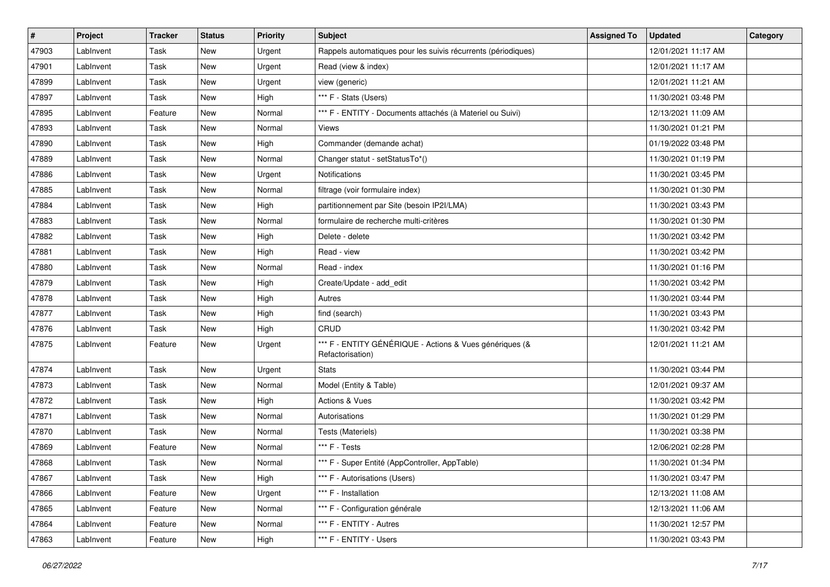| #     | Project   | <b>Tracker</b> | <b>Status</b> | <b>Priority</b> | Subject                                                                     | <b>Assigned To</b> | <b>Updated</b>      | Category |
|-------|-----------|----------------|---------------|-----------------|-----------------------------------------------------------------------------|--------------------|---------------------|----------|
| 47903 | LabInvent | Task           | New           | Urgent          | Rappels automatiques pour les suivis récurrents (périodiques)               |                    | 12/01/2021 11:17 AM |          |
| 47901 | LabInvent | Task           | New           | Urgent          | Read (view & index)                                                         |                    | 12/01/2021 11:17 AM |          |
| 47899 | LabInvent | Task           | New           | Urgent          | view (generic)                                                              |                    | 12/01/2021 11:21 AM |          |
| 47897 | LabInvent | Task           | New           | High            | *** F - Stats (Users)                                                       |                    | 11/30/2021 03:48 PM |          |
| 47895 | LabInvent | Feature        | New           | Normal          | *** F - ENTITY - Documents attachés (à Materiel ou Suivi)                   |                    | 12/13/2021 11:09 AM |          |
| 47893 | LabInvent | Task           | New           | Normal          | Views                                                                       |                    | 11/30/2021 01:21 PM |          |
| 47890 | LabInvent | Task           | New           | High            | Commander (demande achat)                                                   |                    | 01/19/2022 03:48 PM |          |
| 47889 | LabInvent | Task           | New           | Normal          | Changer statut - setStatusTo*()                                             |                    | 11/30/2021 01:19 PM |          |
| 47886 | LabInvent | Task           | New           | Urgent          | Notifications                                                               |                    | 11/30/2021 03:45 PM |          |
| 47885 | LabInvent | Task           | New           | Normal          | filtrage (voir formulaire index)                                            |                    | 11/30/2021 01:30 PM |          |
| 47884 | LabInvent | Task           | New           | High            | partitionnement par Site (besoin IP2I/LMA)                                  |                    | 11/30/2021 03:43 PM |          |
| 47883 | LabInvent | Task           | New           | Normal          | formulaire de recherche multi-critères                                      |                    | 11/30/2021 01:30 PM |          |
| 47882 | LabInvent | Task           | New           | High            | Delete - delete                                                             |                    | 11/30/2021 03:42 PM |          |
| 47881 | LabInvent | Task           | New           | High            | Read - view                                                                 |                    | 11/30/2021 03:42 PM |          |
| 47880 | LabInvent | Task           | New           | Normal          | Read - index                                                                |                    | 11/30/2021 01:16 PM |          |
| 47879 | LabInvent | Task           | New           | High            | Create/Update - add_edit                                                    |                    | 11/30/2021 03:42 PM |          |
| 47878 | LabInvent | Task           | New           | High            | Autres                                                                      |                    | 11/30/2021 03:44 PM |          |
| 47877 | LabInvent | Task           | New           | High            | find (search)                                                               |                    | 11/30/2021 03:43 PM |          |
| 47876 | LabInvent | Task           | New           | High            | CRUD                                                                        |                    | 11/30/2021 03:42 PM |          |
| 47875 | LabInvent | Feature        | New           | Urgent          | *** F - ENTITY GÉNÉRIQUE - Actions & Vues génériques (&<br>Refactorisation) |                    | 12/01/2021 11:21 AM |          |
| 47874 | LabInvent | Task           | New           | Urgent          | <b>Stats</b>                                                                |                    | 11/30/2021 03:44 PM |          |
| 47873 | LabInvent | Task           | New           | Normal          | Model (Entity & Table)                                                      |                    | 12/01/2021 09:37 AM |          |
| 47872 | LabInvent | Task           | New           | High            | Actions & Vues                                                              |                    | 11/30/2021 03:42 PM |          |
| 47871 | LabInvent | Task           | New           | Normal          | Autorisations                                                               |                    | 11/30/2021 01:29 PM |          |
| 47870 | LabInvent | Task           | New           | Normal          | Tests (Materiels)                                                           |                    | 11/30/2021 03:38 PM |          |
| 47869 | LabInvent | Feature        | New           | Normal          | *** F - Tests                                                               |                    | 12/06/2021 02:28 PM |          |
| 47868 | LabInvent | Task           | New           | Normal          | *** F - Super Entité (AppController, AppTable)                              |                    | 11/30/2021 01:34 PM |          |
| 47867 | LabInvent | Task           | New           | High            | *** F - Autorisations (Users)                                               |                    | 11/30/2021 03:47 PM |          |
| 47866 | LabInvent | Feature        | New           | Urgent          | *** F - Installation                                                        |                    | 12/13/2021 11:08 AM |          |
| 47865 | LabInvent | Feature        | New           | Normal          | *** F - Configuration générale                                              |                    | 12/13/2021 11:06 AM |          |
| 47864 | LabInvent | Feature        | New           | Normal          | *** F - ENTITY - Autres                                                     |                    | 11/30/2021 12:57 PM |          |
| 47863 | LabInvent | Feature        | New           | High            | *** F - ENTITY - Users                                                      |                    | 11/30/2021 03:43 PM |          |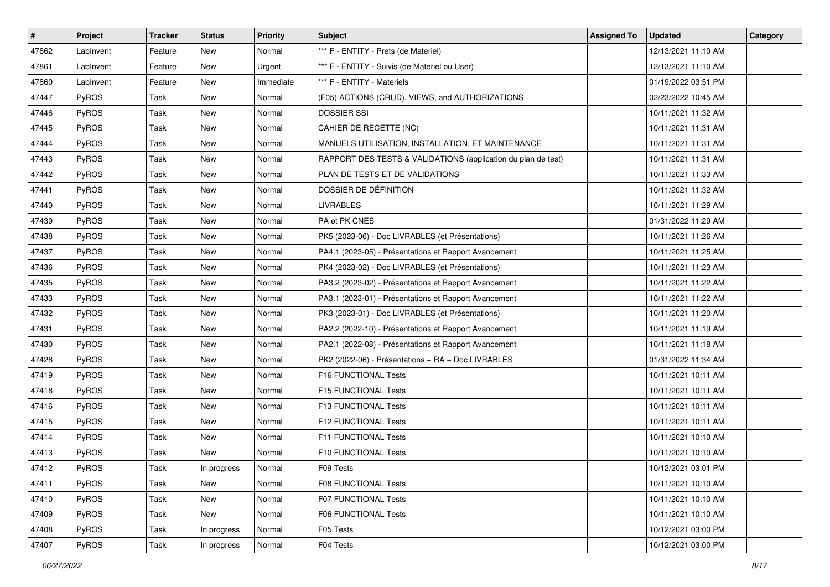| #     | Project      | Tracker | <b>Status</b> | <b>Priority</b> | <b>Subject</b>                                                | <b>Assigned To</b> | <b>Updated</b>      | Category |
|-------|--------------|---------|---------------|-----------------|---------------------------------------------------------------|--------------------|---------------------|----------|
| 47862 | LabInvent    | Feature | New           | Normal          | *** F - ENTITY - Prets (de Materiel)                          |                    | 12/13/2021 11:10 AM |          |
| 47861 | LabInvent    | Feature | New           | Urgent          | *** F - ENTITY - Suivis (de Materiel ou User)                 |                    | 12/13/2021 11:10 AM |          |
| 47860 | LabInvent    | Feature | New           | Immediate       | *** F - ENTITY - Materiels                                    |                    | 01/19/2022 03:51 PM |          |
| 47447 | PyROS        | Task    | New           | Normal          | (F05) ACTIONS (CRUD), VIEWS, and AUTHORIZATIONS               |                    | 02/23/2022 10:45 AM |          |
| 47446 | PyROS        | Task    | New           | Normal          | <b>DOSSIER SSI</b>                                            |                    | 10/11/2021 11:32 AM |          |
| 47445 | PyROS        | Task    | New           | Normal          | CAHIER DE RECETTE (NC)                                        |                    | 10/11/2021 11:31 AM |          |
| 47444 | PyROS        | Task    | <b>New</b>    | Normal          | MANUELS UTILISATION, INSTALLATION, ET MAINTENANCE             |                    | 10/11/2021 11:31 AM |          |
| 47443 | PyROS        | Task    | New           | Normal          | RAPPORT DES TESTS & VALIDATIONS (application du plan de test) |                    | 10/11/2021 11:31 AM |          |
| 47442 | PyROS        | Task    | New           | Normal          | PLAN DE TESTS ET DE VALIDATIONS                               |                    | 10/11/2021 11:33 AM |          |
| 47441 | PyROS        | Task    | New           | Normal          | DOSSIER DE DÉFINITION                                         |                    | 10/11/2021 11:32 AM |          |
| 47440 | PyROS        | Task    | New           | Normal          | <b>LIVRABLES</b>                                              |                    | 10/11/2021 11:29 AM |          |
| 47439 | PyROS        | Task    | New           | Normal          | PA et PK CNES                                                 |                    | 01/31/2022 11:29 AM |          |
| 47438 | PyROS        | Task    | New           | Normal          | PK5 (2023-06) - Doc LIVRABLES (et Présentations)              |                    | 10/11/2021 11:26 AM |          |
| 47437 | PyROS        | Task    | New           | Normal          | PA4.1 (2023-05) - Présentations et Rapport Avancement         |                    | 10/11/2021 11:25 AM |          |
| 47436 | PyROS        | Task    | New           | Normal          | PK4 (2023-02) - Doc LIVRABLES (et Présentations)              |                    | 10/11/2021 11:23 AM |          |
| 47435 | <b>PyROS</b> | Task    | New           | Normal          | PA3.2 (2023-02) - Présentations et Rapport Avancement         |                    | 10/11/2021 11:22 AM |          |
| 47433 | PyROS        | Task    | New           | Normal          | PA3.1 (2023-01) - Présentations et Rapport Avancement         |                    | 10/11/2021 11:22 AM |          |
| 47432 | PyROS        | Task    | New           | Normal          | PK3 (2023-01) - Doc LIVRABLES (et Présentations)              |                    | 10/11/2021 11:20 AM |          |
| 47431 | PyROS        | Task    | New           | Normal          | PA2.2 (2022-10) - Présentations et Rapport Avancement         |                    | 10/11/2021 11:19 AM |          |
| 47430 | PyROS        | Task    | New           | Normal          | PA2.1 (2022-08) - Présentations et Rapport Avancement         |                    | 10/11/2021 11:18 AM |          |
| 47428 | PyROS        | Task    | New           | Normal          | PK2 (2022-06) - Présentations + RA + Doc LIVRABLES            |                    | 01/31/2022 11:34 AM |          |
| 47419 | PyROS        | Task    | New           | Normal          | F16 FUNCTIONAL Tests                                          |                    | 10/11/2021 10:11 AM |          |
| 47418 | PyROS        | Task    | New           | Normal          | F15 FUNCTIONAL Tests                                          |                    | 10/11/2021 10:11 AM |          |
| 47416 | PyROS        | Task    | New           | Normal          | F13 FUNCTIONAL Tests                                          |                    | 10/11/2021 10:11 AM |          |
| 47415 | PyROS        | Task    | New           | Normal          | F12 FUNCTIONAL Tests                                          |                    | 10/11/2021 10:11 AM |          |
| 47414 | PyROS        | Task    | New           | Normal          | F11 FUNCTIONAL Tests                                          |                    | 10/11/2021 10:10 AM |          |
| 47413 | PyROS        | Task    | New           | Normal          | F10 FUNCTIONAL Tests                                          |                    | 10/11/2021 10:10 AM |          |
| 47412 | PyROS        | Task    | In progress   | Normal          | F09 Tests                                                     |                    | 10/12/2021 03:01 PM |          |
| 47411 | PyROS        | Task    | New           | Normal          | <b>F08 FUNCTIONAL Tests</b>                                   |                    | 10/11/2021 10:10 AM |          |
| 47410 | PyROS        | Task    | New           | Normal          | F07 FUNCTIONAL Tests                                          |                    | 10/11/2021 10:10 AM |          |
| 47409 | <b>PyROS</b> | Task    | New           | Normal          | F06 FUNCTIONAL Tests                                          |                    | 10/11/2021 10:10 AM |          |
| 47408 | PyROS        | Task    | In progress   | Normal          | F05 Tests                                                     |                    | 10/12/2021 03:00 PM |          |
| 47407 | PyROS        | Task    | In progress   | Normal          | F04 Tests                                                     |                    | 10/12/2021 03:00 PM |          |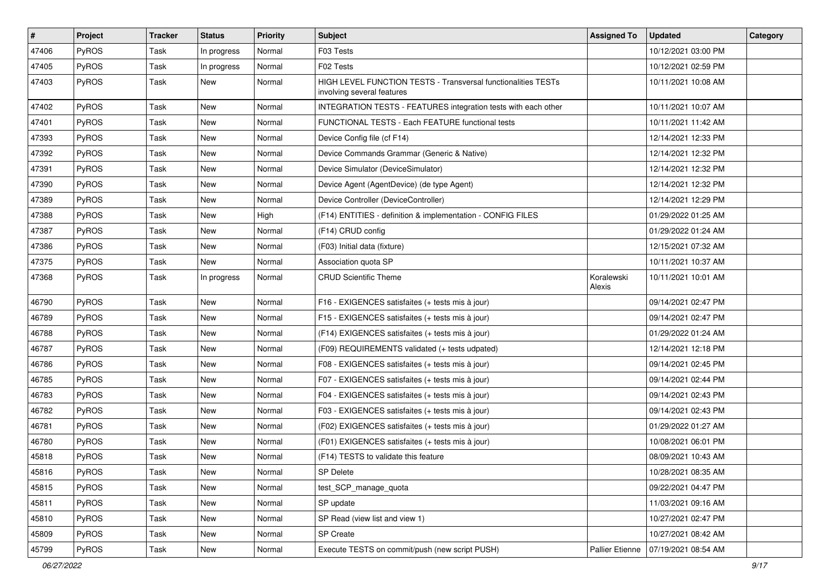| #     | Project      | <b>Tracker</b> | <b>Status</b> | <b>Priority</b> | Subject                                                                                     | <b>Assigned To</b>     | <b>Updated</b>      | Category |
|-------|--------------|----------------|---------------|-----------------|---------------------------------------------------------------------------------------------|------------------------|---------------------|----------|
| 47406 | PyROS        | Task           | In progress   | Normal          | F03 Tests                                                                                   |                        | 10/12/2021 03:00 PM |          |
| 47405 | PyROS        | Task           | In progress   | Normal          | F02 Tests                                                                                   |                        | 10/12/2021 02:59 PM |          |
| 47403 | PyROS        | Task           | New           | Normal          | HIGH LEVEL FUNCTION TESTS - Transversal functionalities TESTs<br>involving several features |                        | 10/11/2021 10:08 AM |          |
| 47402 | PyROS        | Task           | New           | Normal          | INTEGRATION TESTS - FEATURES integration tests with each other                              |                        | 10/11/2021 10:07 AM |          |
| 47401 | PyROS        | Task           | New           | Normal          | FUNCTIONAL TESTS - Each FEATURE functional tests                                            |                        | 10/11/2021 11:42 AM |          |
| 47393 | PyROS        | Task           | <b>New</b>    | Normal          | Device Config file (cf F14)                                                                 |                        | 12/14/2021 12:33 PM |          |
| 47392 | PyROS        | Task           | New           | Normal          | Device Commands Grammar (Generic & Native)                                                  |                        | 12/14/2021 12:32 PM |          |
| 47391 | PyROS        | Task           | <b>New</b>    | Normal          | Device Simulator (DeviceSimulator)                                                          |                        | 12/14/2021 12:32 PM |          |
| 47390 | PyROS        | Task           | New           | Normal          | Device Agent (AgentDevice) (de type Agent)                                                  |                        | 12/14/2021 12:32 PM |          |
| 47389 | PyROS        | Task           | New           | Normal          | Device Controller (DeviceController)                                                        |                        | 12/14/2021 12:29 PM |          |
| 47388 | PyROS        | Task           | New           | High            | (F14) ENTITIES - definition & implementation - CONFIG FILES                                 |                        | 01/29/2022 01:25 AM |          |
| 47387 | PyROS        | Task           | New           | Normal          | (F14) CRUD config                                                                           |                        | 01/29/2022 01:24 AM |          |
| 47386 | PyROS        | Task           | New           | Normal          | (F03) Initial data (fixture)                                                                |                        | 12/15/2021 07:32 AM |          |
| 47375 | PyROS        | Task           | New           | Normal          | Association quota SP                                                                        |                        | 10/11/2021 10:37 AM |          |
| 47368 | <b>PyROS</b> | Task           | In progress   | Normal          | <b>CRUD Scientific Theme</b>                                                                | Koralewski<br>Alexis   | 10/11/2021 10:01 AM |          |
| 46790 | PyROS        | Task           | New           | Normal          | F16 - EXIGENCES satisfaites (+ tests mis à jour)                                            |                        | 09/14/2021 02:47 PM |          |
| 46789 | PyROS        | Task           | New           | Normal          | F15 - EXIGENCES satisfaites (+ tests mis à jour)                                            |                        | 09/14/2021 02:47 PM |          |
| 46788 | PyROS        | Task           | New           | Normal          | (F14) EXIGENCES satisfaites (+ tests mis à jour)                                            |                        | 01/29/2022 01:24 AM |          |
| 46787 | PyROS        | Task           | New           | Normal          | (F09) REQUIREMENTS validated (+ tests udpated)                                              |                        | 12/14/2021 12:18 PM |          |
| 46786 | PyROS        | Task           | New           | Normal          | F08 - EXIGENCES satisfaites (+ tests mis à jour)                                            |                        | 09/14/2021 02:45 PM |          |
| 46785 | PyROS        | Task           | New           | Normal          | F07 - EXIGENCES satisfaites (+ tests mis à jour)                                            |                        | 09/14/2021 02:44 PM |          |
| 46783 | PyROS        | Task           | New           | Normal          | F04 - EXIGENCES satisfaites (+ tests mis à jour)                                            |                        | 09/14/2021 02:43 PM |          |
| 46782 | PyROS        | Task           | New           | Normal          | F03 - EXIGENCES satisfaites (+ tests mis à jour)                                            |                        | 09/14/2021 02:43 PM |          |
| 46781 | PyROS        | Task           | <b>New</b>    | Normal          | (F02) EXIGENCES satisfaites (+ tests mis à jour)                                            |                        | 01/29/2022 01:27 AM |          |
| 46780 | PyROS        | Task           | New           | Normal          | (F01) EXIGENCES satisfaites (+ tests mis à jour)                                            |                        | 10/08/2021 06:01 PM |          |
| 45818 | PyROS        | Task           | New           | Normal          | (F14) TESTS to validate this feature                                                        |                        | 08/09/2021 10:43 AM |          |
| 45816 | PyROS        | Task           | New           | Normal          | <b>SP Delete</b>                                                                            |                        | 10/28/2021 08:35 AM |          |
| 45815 | PyROS        | Task           | New           | Normal          | test SCP manage quota                                                                       |                        | 09/22/2021 04:47 PM |          |
| 45811 | PyROS        | Task           | New           | Normal          | SP update                                                                                   |                        | 11/03/2021 09:16 AM |          |
| 45810 | PyROS        | Task           | New           | Normal          | SP Read (view list and view 1)                                                              |                        | 10/27/2021 02:47 PM |          |
| 45809 | PyROS        | Task           | New           | Normal          | SP Create                                                                                   |                        | 10/27/2021 08:42 AM |          |
| 45799 | PyROS        | Task           | New           | Normal          | Execute TESTS on commit/push (new script PUSH)                                              | <b>Pallier Etienne</b> | 07/19/2021 08:54 AM |          |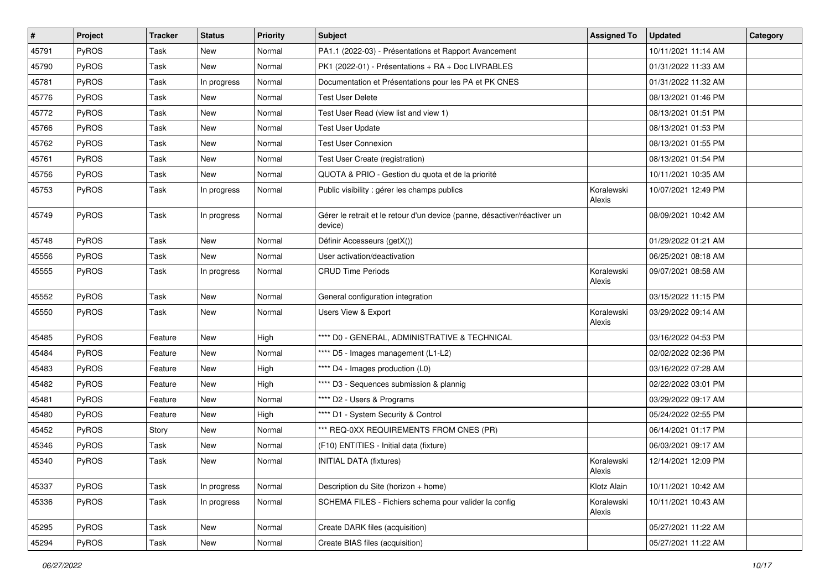| $\pmb{\#}$ | Project | <b>Tracker</b> | <b>Status</b> | <b>Priority</b> | <b>Subject</b>                                                                       | <b>Assigned To</b>   | <b>Updated</b>      | Category |
|------------|---------|----------------|---------------|-----------------|--------------------------------------------------------------------------------------|----------------------|---------------------|----------|
| 45791      | PyROS   | Task           | <b>New</b>    | Normal          | PA1.1 (2022-03) - Présentations et Rapport Avancement                                |                      | 10/11/2021 11:14 AM |          |
| 45790      | PyROS   | Task           | <b>New</b>    | Normal          | PK1 (2022-01) - Présentations + RA + Doc LIVRABLES                                   |                      | 01/31/2022 11:33 AM |          |
| 45781      | PyROS   | Task           | In progress   | Normal          | Documentation et Présentations pour les PA et PK CNES                                |                      | 01/31/2022 11:32 AM |          |
| 45776      | PyROS   | Task           | New           | Normal          | <b>Test User Delete</b>                                                              |                      | 08/13/2021 01:46 PM |          |
| 45772      | PyROS   | Task           | <b>New</b>    | Normal          | Test User Read (view list and view 1)                                                |                      | 08/13/2021 01:51 PM |          |
| 45766      | PyROS   | Task           | New           | Normal          | <b>Test User Update</b>                                                              |                      | 08/13/2021 01:53 PM |          |
| 45762      | PyROS   | Task           | <b>New</b>    | Normal          | <b>Test User Connexion</b>                                                           |                      | 08/13/2021 01:55 PM |          |
| 45761      | PyROS   | Task           | New           | Normal          | Test User Create (registration)                                                      |                      | 08/13/2021 01:54 PM |          |
| 45756      | PyROS   | Task           | New           | Normal          | QUOTA & PRIO - Gestion du quota et de la priorité                                    |                      | 10/11/2021 10:35 AM |          |
| 45753      | PyROS   | Task           | In progress   | Normal          | Public visibility : gérer les champs publics                                         | Koralewski<br>Alexis | 10/07/2021 12:49 PM |          |
| 45749      | PyROS   | Task           | In progress   | Normal          | Gérer le retrait et le retour d'un device (panne, désactiver/réactiver un<br>device) |                      | 08/09/2021 10:42 AM |          |
| 45748      | PyROS   | Task           | New           | Normal          | Définir Accesseurs (getX())                                                          |                      | 01/29/2022 01:21 AM |          |
| 45556      | PyROS   | Task           | <b>New</b>    | Normal          | User activation/deactivation                                                         |                      | 06/25/2021 08:18 AM |          |
| 45555      | PyROS   | Task           | In progress   | Normal          | <b>CRUD Time Periods</b>                                                             | Koralewski<br>Alexis | 09/07/2021 08:58 AM |          |
| 45552      | PyROS   | Task           | New           | Normal          | General configuration integration                                                    |                      | 03/15/2022 11:15 PM |          |
| 45550      | PyROS   | Task           | New           | Normal          | <b>Users View &amp; Export</b>                                                       | Koralewski<br>Alexis | 03/29/2022 09:14 AM |          |
| 45485      | PyROS   | Feature        | <b>New</b>    | High            | **** D0 - GENERAL, ADMINISTRATIVE & TECHNICAL                                        |                      | 03/16/2022 04:53 PM |          |
| 45484      | PyROS   | Feature        | New           | Normal          | **** D5 - Images management (L1-L2)                                                  |                      | 02/02/2022 02:36 PM |          |
| 45483      | PyROS   | Feature        | <b>New</b>    | High            | **** D4 - Images production (L0)                                                     |                      | 03/16/2022 07:28 AM |          |
| 45482      | PyROS   | Feature        | New           | High            | **** D3 - Sequences submission & plannig                                             |                      | 02/22/2022 03:01 PM |          |
| 45481      | PyROS   | Feature        | New           | Normal          | **** D2 - Users & Programs                                                           |                      | 03/29/2022 09:17 AM |          |
| 45480      | PyROS   | Feature        | <b>New</b>    | High            | **** D1 - System Security & Control                                                  |                      | 05/24/2022 02:55 PM |          |
| 45452      | PyROS   | Story          | New           | Normal          | *** REQ-0XX REQUIREMENTS FROM CNES (PR)                                              |                      | 06/14/2021 01:17 PM |          |
| 45346      | PyROS   | Task           | New           | Normal          | (F10) ENTITIES - Initial data (fixture)                                              |                      | 06/03/2021 09:17 AM |          |
| 45340      | PyROS   | Task           | New           | Normal          | <b>INITIAL DATA (fixtures)</b>                                                       | Koralewski<br>Alexis | 12/14/2021 12:09 PM |          |
| 45337      | PyROS   | Task           | In progress   | Normal          | Description du Site (horizon + home)                                                 | Klotz Alain          | 10/11/2021 10:42 AM |          |
| 45336      | PyROS   | Task           | In progress   | Normal          | SCHEMA FILES - Fichiers schema pour valider la config                                | Koralewski<br>Alexis | 10/11/2021 10:43 AM |          |
| 45295      | PyROS   | Task           | New           | Normal          | Create DARK files (acquisition)                                                      |                      | 05/27/2021 11:22 AM |          |
| 45294      | PyROS   | Task           | New           | Normal          | Create BIAS files (acquisition)                                                      |                      | 05/27/2021 11:22 AM |          |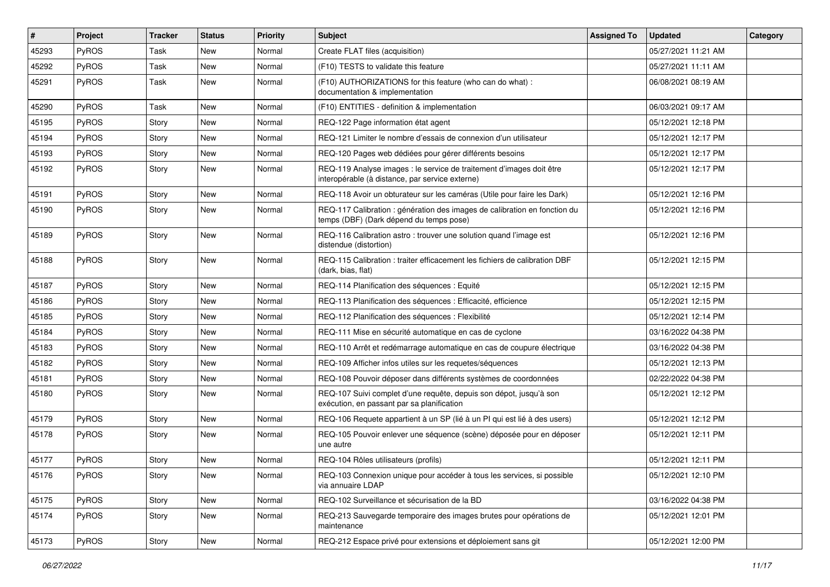| #     | Project | <b>Tracker</b> | <b>Status</b> | <b>Priority</b> | <b>Subject</b>                                                                                                          | <b>Assigned To</b> | <b>Updated</b>      | Category |
|-------|---------|----------------|---------------|-----------------|-------------------------------------------------------------------------------------------------------------------------|--------------------|---------------------|----------|
| 45293 | PyROS   | Task           | <b>New</b>    | Normal          | Create FLAT files (acquisition)                                                                                         |                    | 05/27/2021 11:21 AM |          |
| 45292 | PyROS   | Task           | <b>New</b>    | Normal          | (F10) TESTS to validate this feature                                                                                    |                    | 05/27/2021 11:11 AM |          |
| 45291 | PyROS   | Task           | New           | Normal          | (F10) AUTHORIZATIONS for this feature (who can do what) :<br>documentation & implementation                             |                    | 06/08/2021 08:19 AM |          |
| 45290 | PyROS   | Task           | <b>New</b>    | Normal          | (F10) ENTITIES - definition & implementation                                                                            |                    | 06/03/2021 09:17 AM |          |
| 45195 | PyROS   | Story          | New           | Normal          | REQ-122 Page information état agent                                                                                     |                    | 05/12/2021 12:18 PM |          |
| 45194 | PyROS   | Story          | New           | Normal          | REQ-121 Limiter le nombre d'essais de connexion d'un utilisateur                                                        |                    | 05/12/2021 12:17 PM |          |
| 45193 | PyROS   | Story          | New           | Normal          | REQ-120 Pages web dédiées pour gérer différents besoins                                                                 |                    | 05/12/2021 12:17 PM |          |
| 45192 | PyROS   | Story          | New           | Normal          | REQ-119 Analyse images : le service de traitement d'images doit être<br>interopérable (à distance, par service externe) |                    | 05/12/2021 12:17 PM |          |
| 45191 | PyROS   | Story          | <b>New</b>    | Normal          | REQ-118 Avoir un obturateur sur les caméras (Utile pour faire les Dark)                                                 |                    | 05/12/2021 12:16 PM |          |
| 45190 | PyROS   | Story          | New           | Normal          | REQ-117 Calibration : génération des images de calibration en fonction du<br>temps (DBF) (Dark dépend du temps pose)    |                    | 05/12/2021 12:16 PM |          |
| 45189 | PyROS   | Story          | New           | Normal          | REQ-116 Calibration astro: trouver une solution quand l'image est<br>distendue (distortion)                             |                    | 05/12/2021 12:16 PM |          |
| 45188 | PyROS   | Story          | New           | Normal          | REQ-115 Calibration : traiter efficacement les fichiers de calibration DBF<br>(dark, bias, flat)                        |                    | 05/12/2021 12:15 PM |          |
| 45187 | PyROS   | Story          | <b>New</b>    | Normal          | REQ-114 Planification des séquences : Equité                                                                            |                    | 05/12/2021 12:15 PM |          |
| 45186 | PyROS   | Story          | New           | Normal          | REQ-113 Planification des séquences : Efficacité, efficience                                                            |                    | 05/12/2021 12:15 PM |          |
| 45185 | PyROS   | Story          | New           | Normal          | REQ-112 Planification des séquences : Flexibilité                                                                       |                    | 05/12/2021 12:14 PM |          |
| 45184 | PyROS   | Story          | <b>New</b>    | Normal          | REQ-111 Mise en sécurité automatique en cas de cyclone                                                                  |                    | 03/16/2022 04:38 PM |          |
| 45183 | PyROS   | Story          | New           | Normal          | REQ-110 Arrêt et redémarrage automatique en cas de coupure électrique                                                   |                    | 03/16/2022 04:38 PM |          |
| 45182 | PyROS   | Story          | <b>New</b>    | Normal          | REQ-109 Afficher infos utiles sur les requetes/séquences                                                                |                    | 05/12/2021 12:13 PM |          |
| 45181 | PyROS   | Story          | New           | Normal          | REQ-108 Pouvoir déposer dans différents systèmes de coordonnées                                                         |                    | 02/22/2022 04:38 PM |          |
| 45180 | PyROS   | Story          | New           | Normal          | REQ-107 Suivi complet d'une requête, depuis son dépot, jusqu'à son<br>exécution, en passant par sa planification        |                    | 05/12/2021 12:12 PM |          |
| 45179 | PyROS   | Story          | <b>New</b>    | Normal          | REQ-106 Requete appartient à un SP (lié à un PI qui est lié à des users)                                                |                    | 05/12/2021 12:12 PM |          |
| 45178 | PyROS   | Story          | New           | Normal          | REQ-105 Pouvoir enlever une séquence (scène) déposée pour en déposer<br>une autre                                       |                    | 05/12/2021 12:11 PM |          |
| 45177 | PyROS   | Story          | New           | Normal          | REQ-104 Rôles utilisateurs (profils)                                                                                    |                    | 05/12/2021 12:11 PM |          |
| 45176 | PyROS   | Story          | New           | Normal          | REQ-103 Connexion unique pour accéder à tous les services, si possible<br>via annuaire LDAP                             |                    | 05/12/2021 12:10 PM |          |
| 45175 | PyROS   | Story          | New           | Normal          | REQ-102 Surveillance et sécurisation de la BD                                                                           |                    | 03/16/2022 04:38 PM |          |
| 45174 | PyROS   | Story          | New           | Normal          | REQ-213 Sauvegarde temporaire des images brutes pour opérations de<br>maintenance                                       |                    | 05/12/2021 12:01 PM |          |
| 45173 | PyROS   | Story          | New           | Normal          | REQ-212 Espace privé pour extensions et déploiement sans git                                                            |                    | 05/12/2021 12:00 PM |          |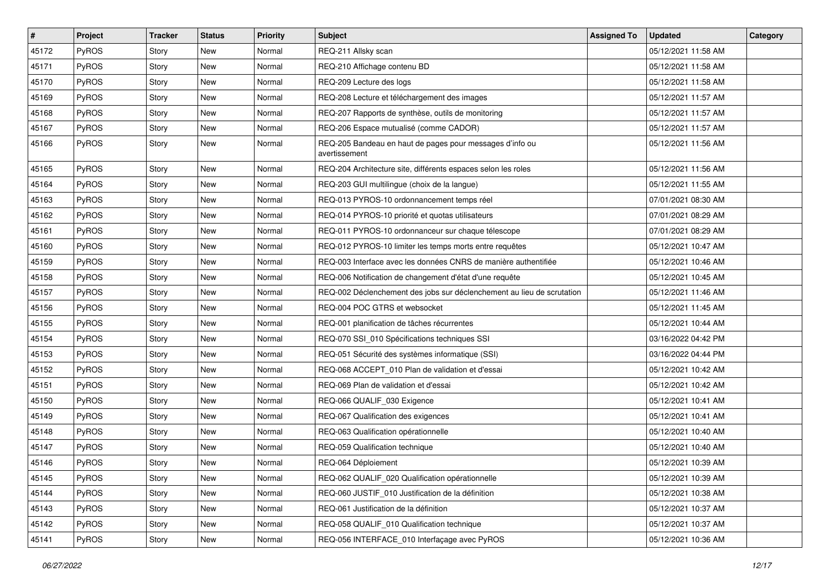| #     | Project      | <b>Tracker</b> | <b>Status</b> | <b>Priority</b> | <b>Subject</b>                                                            | <b>Assigned To</b> | <b>Updated</b>      | Category |
|-------|--------------|----------------|---------------|-----------------|---------------------------------------------------------------------------|--------------------|---------------------|----------|
| 45172 | PyROS        | Story          | <b>New</b>    | Normal          | REQ-211 Allsky scan                                                       |                    | 05/12/2021 11:58 AM |          |
| 45171 | <b>PyROS</b> | Story          | <b>New</b>    | Normal          | REQ-210 Affichage contenu BD                                              |                    | 05/12/2021 11:58 AM |          |
| 45170 | PyROS        | Story          | New           | Normal          | REQ-209 Lecture des logs                                                  |                    | 05/12/2021 11:58 AM |          |
| 45169 | PyROS        | Story          | <b>New</b>    | Normal          | REQ-208 Lecture et téléchargement des images                              |                    | 05/12/2021 11:57 AM |          |
| 45168 | PyROS        | Story          | <b>New</b>    | Normal          | REQ-207 Rapports de synthèse, outils de monitoring                        |                    | 05/12/2021 11:57 AM |          |
| 45167 | PyROS        | Story          | <b>New</b>    | Normal          | REQ-206 Espace mutualisé (comme CADOR)                                    |                    | 05/12/2021 11:57 AM |          |
| 45166 | PyROS        | Story          | <b>New</b>    | Normal          | REQ-205 Bandeau en haut de pages pour messages d'info ou<br>avertissement |                    | 05/12/2021 11:56 AM |          |
| 45165 | PyROS        | Story          | <b>New</b>    | Normal          | REQ-204 Architecture site, différents espaces selon les roles             |                    | 05/12/2021 11:56 AM |          |
| 45164 | PyROS        | Story          | <b>New</b>    | Normal          | REQ-203 GUI multilingue (choix de la langue)                              |                    | 05/12/2021 11:55 AM |          |
| 45163 | <b>PyROS</b> | Story          | New           | Normal          | REQ-013 PYROS-10 ordonnancement temps réel                                |                    | 07/01/2021 08:30 AM |          |
| 45162 | PyROS        | Story          | <b>New</b>    | Normal          | REQ-014 PYROS-10 priorité et quotas utilisateurs                          |                    | 07/01/2021 08:29 AM |          |
| 45161 | PyROS        | Story          | New           | Normal          | REQ-011 PYROS-10 ordonnanceur sur chaque télescope                        |                    | 07/01/2021 08:29 AM |          |
| 45160 | PyROS        | Story          | New           | Normal          | REQ-012 PYROS-10 limiter les temps morts entre requêtes                   |                    | 05/12/2021 10:47 AM |          |
| 45159 | PyROS        | Story          | <b>New</b>    | Normal          | REQ-003 Interface avec les données CNRS de manière authentifiée           |                    | 05/12/2021 10:46 AM |          |
| 45158 | PyROS        | Story          | <b>New</b>    | Normal          | REQ-006 Notification de changement d'état d'une requête                   |                    | 05/12/2021 10:45 AM |          |
| 45157 | PyROS        | Story          | New           | Normal          | REQ-002 Déclenchement des jobs sur déclenchement au lieu de scrutation    |                    | 05/12/2021 11:46 AM |          |
| 45156 | PyROS        | Story          | <b>New</b>    | Normal          | REQ-004 POC GTRS et websocket                                             |                    | 05/12/2021 11:45 AM |          |
| 45155 | PyROS        | Story          | <b>New</b>    | Normal          | REQ-001 planification de tâches récurrentes                               |                    | 05/12/2021 10:44 AM |          |
| 45154 | PyROS        | Story          | <b>New</b>    | Normal          | REQ-070 SSI_010 Spécifications techniques SSI                             |                    | 03/16/2022 04:42 PM |          |
| 45153 | PyROS        | Story          | New           | Normal          | REQ-051 Sécurité des systèmes informatique (SSI)                          |                    | 03/16/2022 04:44 PM |          |
| 45152 | PyROS        | Story          | <b>New</b>    | Normal          | REQ-068 ACCEPT_010 Plan de validation et d'essai                          |                    | 05/12/2021 10:42 AM |          |
| 45151 | PyROS        | Story          | <b>New</b>    | Normal          | REQ-069 Plan de validation et d'essai                                     |                    | 05/12/2021 10:42 AM |          |
| 45150 | PyROS        | Story          | New           | Normal          | REQ-066 QUALIF 030 Exigence                                               |                    | 05/12/2021 10:41 AM |          |
| 45149 | PyROS        | Story          | <b>New</b>    | Normal          | REQ-067 Qualification des exigences                                       |                    | 05/12/2021 10:41 AM |          |
| 45148 | <b>PyROS</b> | Story          | New           | Normal          | REQ-063 Qualification opérationnelle                                      |                    | 05/12/2021 10:40 AM |          |
| 45147 | PyROS        | Story          | <b>New</b>    | Normal          | REQ-059 Qualification technique                                           |                    | 05/12/2021 10:40 AM |          |
| 45146 | PyROS        | Story          | <b>New</b>    | Normal          | REQ-064 Déploiement                                                       |                    | 05/12/2021 10:39 AM |          |
| 45145 | PyROS        | Story          | New           | Normal          | REQ-062 QUALIF 020 Qualification opérationnelle                           |                    | 05/12/2021 10:39 AM |          |
| 45144 | PyROS        | Story          | New           | Normal          | REQ-060 JUSTIF_010 Justification de la définition                         |                    | 05/12/2021 10:38 AM |          |
| 45143 | PyROS        | Story          | New           | Normal          | REQ-061 Justification de la définition                                    |                    | 05/12/2021 10:37 AM |          |
| 45142 | PyROS        | Story          | New           | Normal          | REQ-058 QUALIF_010 Qualification technique                                |                    | 05/12/2021 10:37 AM |          |
| 45141 | PyROS        | Story          | New           | Normal          | REQ-056 INTERFACE 010 Interfaçage avec PyROS                              |                    | 05/12/2021 10:36 AM |          |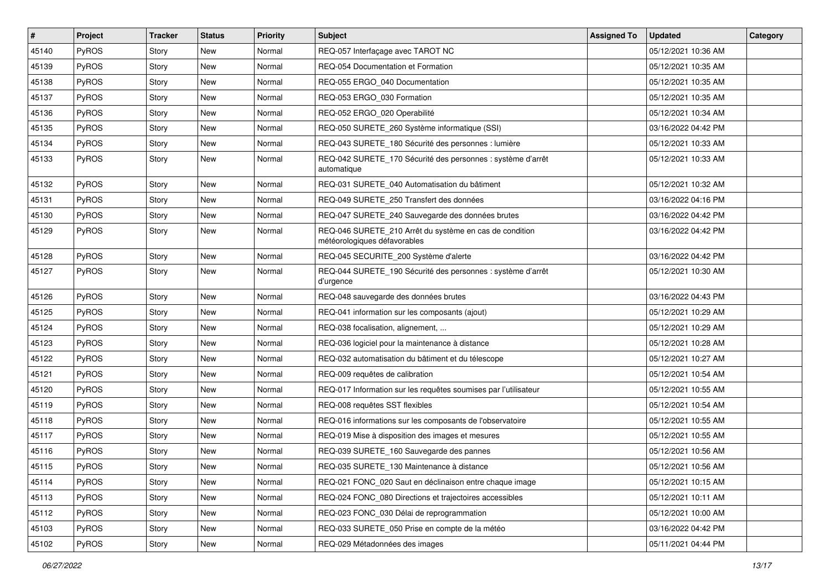| #     | Project      | <b>Tracker</b> | <b>Status</b> | <b>Priority</b> | <b>Subject</b>                                                                          | <b>Assigned To</b> | <b>Updated</b>      | Category |
|-------|--------------|----------------|---------------|-----------------|-----------------------------------------------------------------------------------------|--------------------|---------------------|----------|
| 45140 | PyROS        | Story          | New           | Normal          | REQ-057 Interfaçage avec TAROT NC                                                       |                    | 05/12/2021 10:36 AM |          |
| 45139 | PyROS        | Story          | New           | Normal          | REQ-054 Documentation et Formation                                                      |                    | 05/12/2021 10:35 AM |          |
| 45138 | <b>PyROS</b> | Story          | New           | Normal          | REQ-055 ERGO 040 Documentation                                                          |                    | 05/12/2021 10:35 AM |          |
| 45137 | PyROS        | Story          | New           | Normal          | REQ-053 ERGO 030 Formation                                                              |                    | 05/12/2021 10:35 AM |          |
| 45136 | PyROS        | Story          | New           | Normal          | REQ-052 ERGO_020 Operabilité                                                            |                    | 05/12/2021 10:34 AM |          |
| 45135 | PyROS        | Story          | New           | Normal          | REQ-050 SURETE_260 Système informatique (SSI)                                           |                    | 03/16/2022 04:42 PM |          |
| 45134 | PyROS        | Story          | <b>New</b>    | Normal          | REQ-043 SURETE_180 Sécurité des personnes : lumière                                     |                    | 05/12/2021 10:33 AM |          |
| 45133 | <b>PyROS</b> | Story          | New           | Normal          | REQ-042 SURETE_170 Sécurité des personnes : système d'arrêt<br>automatique              |                    | 05/12/2021 10:33 AM |          |
| 45132 | PyROS        | Story          | New           | Normal          | REQ-031 SURETE_040 Automatisation du bâtiment                                           |                    | 05/12/2021 10:32 AM |          |
| 45131 | <b>PyROS</b> | Story          | New           | Normal          | REQ-049 SURETE 250 Transfert des données                                                |                    | 03/16/2022 04:16 PM |          |
| 45130 | PyROS        | Story          | New           | Normal          | REQ-047 SURETE_240 Sauvegarde des données brutes                                        |                    | 03/16/2022 04:42 PM |          |
| 45129 | PyROS        | Story          | New           | Normal          | REQ-046 SURETE 210 Arrêt du système en cas de condition<br>météorologiques défavorables |                    | 03/16/2022 04:42 PM |          |
| 45128 | PyROS        | Story          | <b>New</b>    | Normal          | REQ-045 SECURITE_200 Système d'alerte                                                   |                    | 03/16/2022 04:42 PM |          |
| 45127 | PyROS        | Story          | New           | Normal          | REQ-044 SURETE_190 Sécurité des personnes : système d'arrêt<br>d'urgence                |                    | 05/12/2021 10:30 AM |          |
| 45126 | PyROS        | Story          | New           | Normal          | REQ-048 sauvegarde des données brutes                                                   |                    | 03/16/2022 04:43 PM |          |
| 45125 | <b>PyROS</b> | Story          | New           | Normal          | REQ-041 information sur les composants (ajout)                                          |                    | 05/12/2021 10:29 AM |          |
| 45124 | PyROS        | Story          | New           | Normal          | REQ-038 focalisation, alignement,                                                       |                    | 05/12/2021 10:29 AM |          |
| 45123 | PyROS        | Story          | New           | Normal          | REQ-036 logiciel pour la maintenance à distance                                         |                    | 05/12/2021 10:28 AM |          |
| 45122 | PyROS        | Story          | New           | Normal          | REQ-032 automatisation du bâtiment et du télescope                                      |                    | 05/12/2021 10:27 AM |          |
| 45121 | PyROS        | Story          | New           | Normal          | REQ-009 requêtes de calibration                                                         |                    | 05/12/2021 10:54 AM |          |
| 45120 | <b>PyROS</b> | Story          | New           | Normal          | REQ-017 Information sur les requêtes soumises par l'utilisateur                         |                    | 05/12/2021 10:55 AM |          |
| 45119 | PyROS        | Story          | New           | Normal          | REQ-008 requêtes SST flexibles                                                          |                    | 05/12/2021 10:54 AM |          |
| 45118 | PyROS        | Story          | New           | Normal          | REQ-016 informations sur les composants de l'observatoire                               |                    | 05/12/2021 10:55 AM |          |
| 45117 | PyROS        | Story          | New           | Normal          | REQ-019 Mise à disposition des images et mesures                                        |                    | 05/12/2021 10:55 AM |          |
| 45116 | PyROS        | Story          | <b>New</b>    | Normal          | REQ-039 SURETE_160 Sauvegarde des pannes                                                |                    | 05/12/2021 10:56 AM |          |
| 45115 | PyROS        | Story          | New           | Normal          | REQ-035 SURETE 130 Maintenance à distance                                               |                    | 05/12/2021 10:56 AM |          |
| 45114 | PyROS        | Story          | New           | Normal          | REQ-021 FONC_020 Saut en déclinaison entre chaque image                                 |                    | 05/12/2021 10:15 AM |          |
| 45113 | PyROS        | Story          | New           | Normal          | REQ-024 FONC_080 Directions et trajectoires accessibles                                 |                    | 05/12/2021 10:11 AM |          |
| 45112 | PyROS        | Story          | New           | Normal          | REQ-023 FONC 030 Délai de reprogrammation                                               |                    | 05/12/2021 10:00 AM |          |
| 45103 | PyROS        | Story          | New           | Normal          | REQ-033 SURETE_050 Prise en compte de la météo                                          |                    | 03/16/2022 04:42 PM |          |
| 45102 | PyROS        | Story          | New           | Normal          | REQ-029 Métadonnées des images                                                          |                    | 05/11/2021 04:44 PM |          |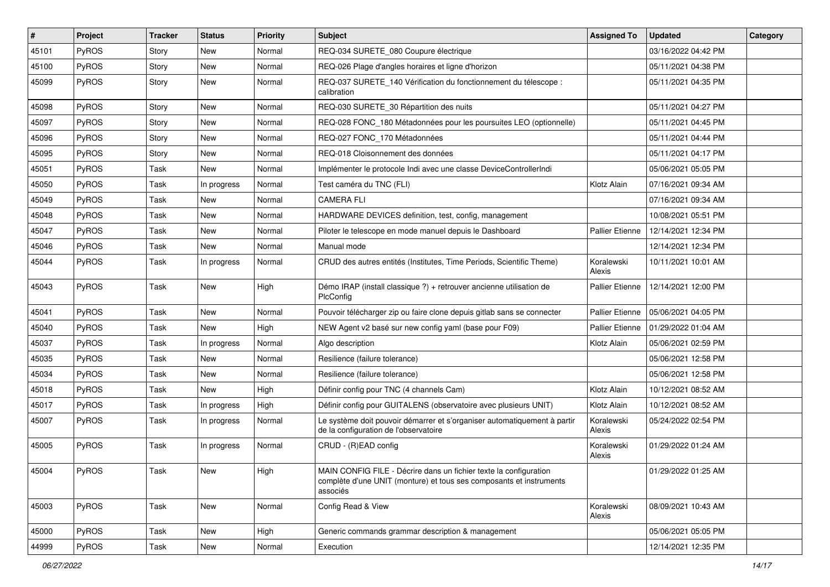| #     | Project      | <b>Tracker</b> | <b>Status</b> | <b>Priority</b> | <b>Subject</b>                                                                                                                                       | <b>Assigned To</b>     | <b>Updated</b>      | Category |
|-------|--------------|----------------|---------------|-----------------|------------------------------------------------------------------------------------------------------------------------------------------------------|------------------------|---------------------|----------|
| 45101 | PyROS        | Story          | New           | Normal          | REQ-034 SURETE_080 Coupure électrique                                                                                                                |                        | 03/16/2022 04:42 PM |          |
| 45100 | PyROS        | Story          | New           | Normal          | REQ-026 Plage d'angles horaires et ligne d'horizon                                                                                                   |                        | 05/11/2021 04:38 PM |          |
| 45099 | PyROS        | Story          | New           | Normal          | REQ-037 SURETE_140 Vérification du fonctionnement du télescope :<br>calibration                                                                      |                        | 05/11/2021 04:35 PM |          |
| 45098 | PyROS        | Story          | New           | Normal          | REQ-030 SURETE_30 Répartition des nuits                                                                                                              |                        | 05/11/2021 04:27 PM |          |
| 45097 | PyROS        | Story          | New           | Normal          | REQ-028 FONC_180 Métadonnées pour les poursuites LEO (optionnelle)                                                                                   |                        | 05/11/2021 04:45 PM |          |
| 45096 | PyROS        | Story          | New           | Normal          | REQ-027 FONC_170 Métadonnées                                                                                                                         |                        | 05/11/2021 04:44 PM |          |
| 45095 | <b>PyROS</b> | Story          | New           | Normal          | REQ-018 Cloisonnement des données                                                                                                                    |                        | 05/11/2021 04:17 PM |          |
| 45051 | PyROS        | Task           | New           | Normal          | Implémenter le protocole Indi avec une classe DeviceControllerIndi                                                                                   |                        | 05/06/2021 05:05 PM |          |
| 45050 | PyROS        | Task           | In progress   | Normal          | Test caméra du TNC (FLI)                                                                                                                             | Klotz Alain            | 07/16/2021 09:34 AM |          |
| 45049 | PyROS        | Task           | New           | Normal          | <b>CAMERA FLI</b>                                                                                                                                    |                        | 07/16/2021 09:34 AM |          |
| 45048 | PyROS        | Task           | <b>New</b>    | Normal          | HARDWARE DEVICES definition, test, config, management                                                                                                |                        | 10/08/2021 05:51 PM |          |
| 45047 | PyROS        | Task           | New           | Normal          | Piloter le telescope en mode manuel depuis le Dashboard                                                                                              | <b>Pallier Etienne</b> | 12/14/2021 12:34 PM |          |
| 45046 | PyROS        | Task           | New           | Normal          | Manual mode                                                                                                                                          |                        | 12/14/2021 12:34 PM |          |
| 45044 | PyROS        | Task           | In progress   | Normal          | CRUD des autres entités (Institutes, Time Periods, Scientific Theme)                                                                                 | Koralewski<br>Alexis   | 10/11/2021 10:01 AM |          |
| 45043 | PyROS        | Task           | New           | High            | Démo IRAP (install classique ?) + retrouver ancienne utilisation de<br>PlcConfig                                                                     | <b>Pallier Etienne</b> | 12/14/2021 12:00 PM |          |
| 45041 | PyROS        | Task           | <b>New</b>    | Normal          | Pouvoir télécharger zip ou faire clone depuis gitlab sans se connecter                                                                               | Pallier Etienne        | 05/06/2021 04:05 PM |          |
| 45040 | PyROS        | Task           | New           | High            | NEW Agent v2 basé sur new config yaml (base pour F09)                                                                                                | Pallier Etienne        | 01/29/2022 01:04 AM |          |
| 45037 | PyROS        | Task           | In progress   | Normal          | Algo description                                                                                                                                     | Klotz Alain            | 05/06/2021 02:59 PM |          |
| 45035 | PyROS        | Task           | New           | Normal          | Resilience (failure tolerance)                                                                                                                       |                        | 05/06/2021 12:58 PM |          |
| 45034 | PyROS        | Task           | <b>New</b>    | Normal          | Resilience (failure tolerance)                                                                                                                       |                        | 05/06/2021 12:58 PM |          |
| 45018 | <b>PyROS</b> | Task           | New           | High            | Définir config pour TNC (4 channels Cam)                                                                                                             | Klotz Alain            | 10/12/2021 08:52 AM |          |
| 45017 | PyROS        | Task           | In progress   | High            | Définir config pour GUITALENS (observatoire avec plusieurs UNIT)                                                                                     | Klotz Alain            | 10/12/2021 08:52 AM |          |
| 45007 | <b>PyROS</b> | Task           | In progress   | Normal          | Le système doit pouvoir démarrer et s'organiser automatiquement à partir<br>de la configuration de l'observatoire                                    | Koralewski<br>Alexis   | 05/24/2022 02:54 PM |          |
| 45005 | PyROS        | Task           | In progress   | Normal          | CRUD - (R)EAD config                                                                                                                                 | Koralewski<br>Alexis   | 01/29/2022 01:24 AM |          |
| 45004 | $ $ PyROS    | Task           | New           | High            | MAIN CONFIG FILE - Décrire dans un fichier texte la configuration<br>complète d'une UNIT (monture) et tous ses composants et instruments<br>associés |                        | 01/29/2022 01:25 AM |          |
| 45003 | PyROS        | Task           | New           | Normal          | Config Read & View                                                                                                                                   | Koralewski<br>Alexis   | 08/09/2021 10:43 AM |          |
| 45000 | PyROS        | Task           | New           | High            | Generic commands grammar description & management                                                                                                    |                        | 05/06/2021 05:05 PM |          |
| 44999 | PyROS        | Task           | New           | Normal          | Execution                                                                                                                                            |                        | 12/14/2021 12:35 PM |          |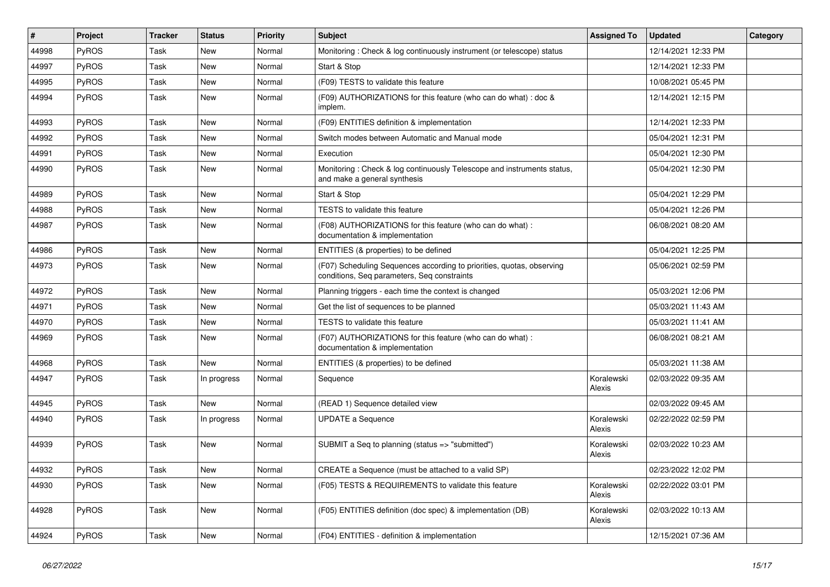| #     | Project | <b>Tracker</b> | <b>Status</b> | Priority | Subject                                                                                                              | <b>Assigned To</b>   | <b>Updated</b>      | Category |
|-------|---------|----------------|---------------|----------|----------------------------------------------------------------------------------------------------------------------|----------------------|---------------------|----------|
| 44998 | PyROS   | Task           | New           | Normal   | Monitoring: Check & log continuously instrument (or telescope) status                                                |                      | 12/14/2021 12:33 PM |          |
| 44997 | PyROS   | Task           | <b>New</b>    | Normal   | Start & Stop                                                                                                         |                      | 12/14/2021 12:33 PM |          |
| 44995 | PyROS   | Task           | New           | Normal   | (F09) TESTS to validate this feature                                                                                 |                      | 10/08/2021 05:45 PM |          |
| 44994 | PyROS   | Task           | New           | Normal   | (F09) AUTHORIZATIONS for this feature (who can do what) : doc &<br>implem.                                           |                      | 12/14/2021 12:15 PM |          |
| 44993 | PyROS   | Task           | New           | Normal   | (F09) ENTITIES definition & implementation                                                                           |                      | 12/14/2021 12:33 PM |          |
| 44992 | PyROS   | Task           | <b>New</b>    | Normal   | Switch modes between Automatic and Manual mode                                                                       |                      | 05/04/2021 12:31 PM |          |
| 44991 | PyROS   | Task           | New           | Normal   | Execution                                                                                                            |                      | 05/04/2021 12:30 PM |          |
| 44990 | PyROS   | Task           | New           | Normal   | Monitoring: Check & log continuously Telescope and instruments status,<br>and make a general synthesis               |                      | 05/04/2021 12:30 PM |          |
| 44989 | PyROS   | Task           | <b>New</b>    | Normal   | Start & Stop                                                                                                         |                      | 05/04/2021 12:29 PM |          |
| 44988 | PyROS   | Task           | New           | Normal   | TESTS to validate this feature                                                                                       |                      | 05/04/2021 12:26 PM |          |
| 44987 | PyROS   | Task           | New           | Normal   | (F08) AUTHORIZATIONS for this feature (who can do what) :<br>documentation & implementation                          |                      | 06/08/2021 08:20 AM |          |
| 44986 | PyROS   | Task           | New           | Normal   | ENTITIES (& properties) to be defined                                                                                |                      | 05/04/2021 12:25 PM |          |
| 44973 | PyROS   | Task           | New           | Normal   | (F07) Scheduling Sequences according to priorities, quotas, observing<br>conditions, Seq parameters, Seq constraints |                      | 05/06/2021 02:59 PM |          |
| 44972 | PyROS   | Task           | <b>New</b>    | Normal   | Planning triggers - each time the context is changed                                                                 |                      | 05/03/2021 12:06 PM |          |
| 44971 | PyROS   | Task           | New           | Normal   | Get the list of sequences to be planned                                                                              |                      | 05/03/2021 11:43 AM |          |
| 44970 | PyROS   | Task           | New           | Normal   | TESTS to validate this feature                                                                                       |                      | 05/03/2021 11:41 AM |          |
| 44969 | PyROS   | Task           | New           | Normal   | (F07) AUTHORIZATIONS for this feature (who can do what) :<br>documentation & implementation                          |                      | 06/08/2021 08:21 AM |          |
| 44968 | PyROS   | Task           | <b>New</b>    | Normal   | ENTITIES (& properties) to be defined                                                                                |                      | 05/03/2021 11:38 AM |          |
| 44947 | PyROS   | Task           | In progress   | Normal   | Sequence                                                                                                             | Koralewski<br>Alexis | 02/03/2022 09:35 AM |          |
| 44945 | PyROS   | Task           | <b>New</b>    | Normal   | (READ 1) Sequence detailed view                                                                                      |                      | 02/03/2022 09:45 AM |          |
| 44940 | PyROS   | Task           | In progress   | Normal   | <b>UPDATE a Sequence</b>                                                                                             | Koralewski<br>Alexis | 02/22/2022 02:59 PM |          |
| 44939 | PyROS   | Task           | <b>New</b>    | Normal   | SUBMIT a Seq to planning (status => "submitted")                                                                     | Koralewski<br>Alexis | 02/03/2022 10:23 AM |          |
| 44932 | PyROS   | Task           | New           | Normal   | CREATE a Sequence (must be attached to a valid SP)                                                                   |                      | 02/23/2022 12:02 PM |          |
| 44930 | PyROS   | Task           | New           | Normal   | (F05) TESTS & REQUIREMENTS to validate this feature                                                                  | Koralewski<br>Alexis | 02/22/2022 03:01 PM |          |
| 44928 | PyROS   | Task           | New           | Normal   | (F05) ENTITIES definition (doc spec) & implementation (DB)                                                           | Koralewski<br>Alexis | 02/03/2022 10:13 AM |          |
| 44924 | PyROS   | Task           | New           | Normal   | (F04) ENTITIES - definition & implementation                                                                         |                      | 12/15/2021 07:36 AM |          |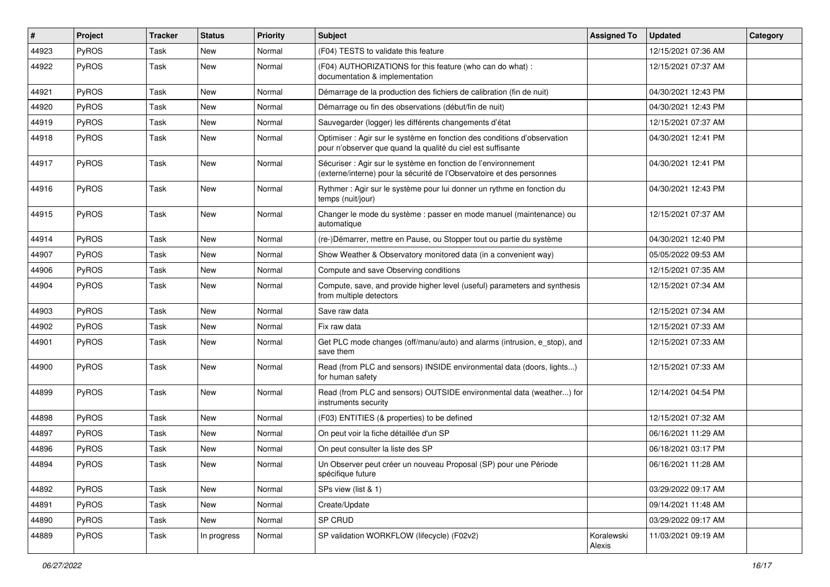| #     | Project      | <b>Tracker</b> | <b>Status</b> | <b>Priority</b> | <b>Subject</b>                                                                                                                          | <b>Assigned To</b>   | <b>Updated</b>      | Category |
|-------|--------------|----------------|---------------|-----------------|-----------------------------------------------------------------------------------------------------------------------------------------|----------------------|---------------------|----------|
| 44923 | PyROS        | Task           | <b>New</b>    | Normal          | (F04) TESTS to validate this feature                                                                                                    |                      | 12/15/2021 07:36 AM |          |
| 44922 | PyROS        | Task           | New           | Normal          | (F04) AUTHORIZATIONS for this feature (who can do what) :<br>documentation & implementation                                             |                      | 12/15/2021 07:37 AM |          |
| 44921 | PyROS        | Task           | New           | Normal          | Démarrage de la production des fichiers de calibration (fin de nuit)                                                                    |                      | 04/30/2021 12:43 PM |          |
| 44920 | PyROS        | Task           | <b>New</b>    | Normal          | Démarrage ou fin des observations (début/fin de nuit)                                                                                   |                      | 04/30/2021 12:43 PM |          |
| 44919 | PyROS        | Task           | New           | Normal          | Sauvegarder (logger) les différents changements d'état                                                                                  |                      | 12/15/2021 07:37 AM |          |
| 44918 | PyROS        | Task           | New           | Normal          | Optimiser : Agir sur le système en fonction des conditions d'observation<br>pour n'observer que quand la qualité du ciel est suffisante |                      | 04/30/2021 12:41 PM |          |
| 44917 | PyROS        | Task           | <b>New</b>    | Normal          | Sécuriser : Agir sur le système en fonction de l'environnement<br>(externe/interne) pour la sécurité de l'Observatoire et des personnes |                      | 04/30/2021 12:41 PM |          |
| 44916 | PyROS        | Task           | <b>New</b>    | Normal          | Rythmer : Agir sur le système pour lui donner un rythme en fonction du<br>temps (nuit/jour)                                             |                      | 04/30/2021 12:43 PM |          |
| 44915 | PyROS        | Task           | <b>New</b>    | Normal          | Changer le mode du système : passer en mode manuel (maintenance) ou<br>automatique                                                      |                      | 12/15/2021 07:37 AM |          |
| 44914 | PyROS        | Task           | <b>New</b>    | Normal          | (re-)Démarrer, mettre en Pause, ou Stopper tout ou partie du système                                                                    |                      | 04/30/2021 12:40 PM |          |
| 44907 | PyROS        | Task           | New           | Normal          | Show Weather & Observatory monitored data (in a convenient way)                                                                         |                      | 05/05/2022 09:53 AM |          |
| 44906 | PyROS        | Task           | <b>New</b>    | Normal          | Compute and save Observing conditions                                                                                                   |                      | 12/15/2021 07:35 AM |          |
| 44904 | PyROS        | Task           | New           | Normal          | Compute, save, and provide higher level (useful) parameters and synthesis<br>from multiple detectors                                    |                      | 12/15/2021 07:34 AM |          |
| 44903 | PyROS        | Task           | New           | Normal          | Save raw data                                                                                                                           |                      | 12/15/2021 07:34 AM |          |
| 44902 | <b>PyROS</b> | Task           | <b>New</b>    | Normal          | Fix raw data                                                                                                                            |                      | 12/15/2021 07:33 AM |          |
| 44901 | <b>PyROS</b> | Task           | New           | Normal          | Get PLC mode changes (off/manu/auto) and alarms (intrusion, e_stop), and<br>save them                                                   |                      | 12/15/2021 07:33 AM |          |
| 44900 | PyROS        | Task           | New           | Normal          | Read (from PLC and sensors) INSIDE environmental data (doors, lights)<br>for human safety                                               |                      | 12/15/2021 07:33 AM |          |
| 44899 | PyROS        | Task           | <b>New</b>    | Normal          | Read (from PLC and sensors) OUTSIDE environmental data (weather) for<br>instruments security                                            |                      | 12/14/2021 04:54 PM |          |
| 44898 | PyROS        | Task           | <b>New</b>    | Normal          | (F03) ENTITIES (& properties) to be defined                                                                                             |                      | 12/15/2021 07:32 AM |          |
| 44897 | PyROS        | Task           | New           | Normal          | On peut voir la fiche détaillée d'un SP                                                                                                 |                      | 06/16/2021 11:29 AM |          |
| 44896 | PyROS        | Task           | New           | Normal          | On peut consulter la liste des SP                                                                                                       |                      | 06/18/2021 03:17 PM |          |
| 44894 | PyROS        | Task           | New           | Normal          | Un Observer peut créer un nouveau Proposal (SP) pour une Période<br>spécifique future                                                   |                      | 06/16/2021 11:28 AM |          |
| 44892 | PyROS        | Task           | New           | Normal          | SPs view (list & 1)                                                                                                                     |                      | 03/29/2022 09:17 AM |          |
| 44891 | PyROS        | Task           | New           | Normal          | Create/Update                                                                                                                           |                      | 09/14/2021 11:48 AM |          |
| 44890 | PyROS        | Task           | New           | Normal          | SP CRUD                                                                                                                                 |                      | 03/29/2022 09:17 AM |          |
| 44889 | PyROS        | Task           | In progress   | Normal          | SP validation WORKFLOW (lifecycle) (F02v2)                                                                                              | Koralewski<br>Alexis | 11/03/2021 09:19 AM |          |